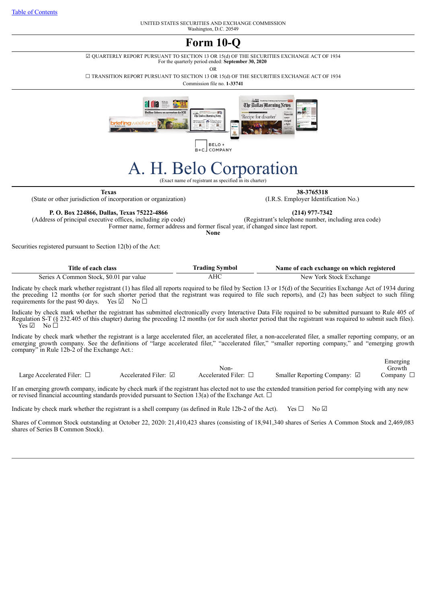UNITED STATES SECURITIES AND EXCHANGE COMMISSION Washington, D.C. 20549



# Belo Corporation

(Exact name of registrant as specified  $\overline{\text{in}}$  its charter)

(State or other jurisdiction of incorporation or organization)

**P. O. Box 224866, Dallas, Texas 75222-4866 (214) 977-7342** (Address of principal executive offices, including zip code) Former name, former address and former fiscal year, if changed since last report.

**None**

Securities registered pursuant to Section 12(b) of the Act:

| Title of each class                     | <b>Trading Symbol</b> | Name of each exchange on which registered |
|-----------------------------------------|-----------------------|-------------------------------------------|
| Series A Common Stock, \$0.01 par value |                       | New York Stock Exchange                   |

Indicate by check mark whether registrant (1) has filed all reports required to be filed by Section 13 or 15(d) of the Securities Exchange Act of 1934 during the preceding 12 months (or for such shorter period that the registrant was required to file such reports), and (2) has been subject to such filing requirements for the past 90 days. Yes  $\Box$  No  $\Box$ requirements for the past 90 days.

Indicate by check mark whether the registrant has submitted electronically every Interactive Data File required to be submitted pursuant to Rule 405 of Regulation S-T (§ 232.405 of this chapter) during the preceding 12 months (or for such shorter period that the registrant was required to submit such files).  $Yes \Box$  No  $\Box$ 

Indicate by check mark whether the registrant is a large accelerated filer, an accelerated filer, a non-accelerated filer, a smaller reporting company, or an emerging growth company. See the definitions of "large accelerated filer," "accelerated filer," "smaller reporting company," and "emerging growth company" in Rule 12b-2 of the Exchange Act.:

|                            |                             | Non-                      |                                        | Lille chic<br>`irowth      |
|----------------------------|-----------------------------|---------------------------|----------------------------------------|----------------------------|
| Large Accelerated Filer: L | Accelerated Filer: $\nabla$ | Accelerated Filer: $\Box$ | Smaller Reporting Company: $\boxtimes$ | $\mathsf{Company} \; \Box$ |

If an emerging growth company, indicate by check mark if the registrant has elected not to use the extended transition period for complying with any new or revised financial accounting standards provided pursuant to Section 13(a) of the Exchange Act.  $\Box$ 

Indicate by check mark whether the registrant is a shell company (as defined in Rule 12b-2 of the Act). Yes  $\Box$  No  $\Box$ 

Shares of Common Stock outstanding at October 22, 2020: 21,410,423 shares (consisting of 18,941,340 shares of Series A Common Stock and 2,469,083 shares of Series B Common Stock).

**Texas 38-3765318**<br>of incorporation or organization) (I.R.S. Employer Identification No.)

Emerging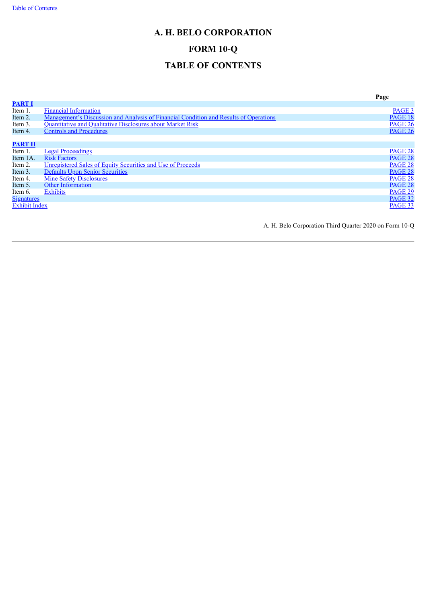# <span id="page-1-0"></span>**A. H. BELO CORPORATION**

# **FORM 10-Q**

# **TABLE OF CONTENTS**

|                      |                                                                                       | Page           |
|----------------------|---------------------------------------------------------------------------------------|----------------|
| <b>PART I</b>        |                                                                                       |                |
| Item 1.              | <b>Financial Information</b>                                                          | PAGE 3         |
| Item 2.              | Management's Discussion and Analysis of Financial Condition and Results of Operations | <b>PAGE 18</b> |
| Item 3.              | Quantitative and Qualitative Disclosures about Market Risk                            | <b>PAGE 26</b> |
| Item 4.              | <b>Controls and Procedures</b>                                                        | <b>PAGE 26</b> |
|                      |                                                                                       |                |
| <b>PART II</b>       |                                                                                       |                |
| Item 1.              | <b>Legal Proceedings</b>                                                              | <b>PAGE 28</b> |
| Item 1A.             | <b>Risk Factors</b>                                                                   | <b>PAGE 28</b> |
| Item 2.              | Unregistered Sales of Equity Securities and Use of Proceeds                           | <b>PAGE 28</b> |
| Item 3.              | <b>Defaults Upon Senior Securities</b>                                                | <b>PAGE 28</b> |
| Item 4.              | <b>Mine Safety Disclosures</b>                                                        | <b>PAGE 28</b> |
| Item 5.              | <b>Other Information</b>                                                              | PAGE 28        |
| Item 6.              | <b>Exhibits</b>                                                                       | <b>PAGE 29</b> |
| <b>Signatures</b>    |                                                                                       | <b>PAGE 32</b> |
| <b>Exhibit Index</b> |                                                                                       | <b>PAGE 33</b> |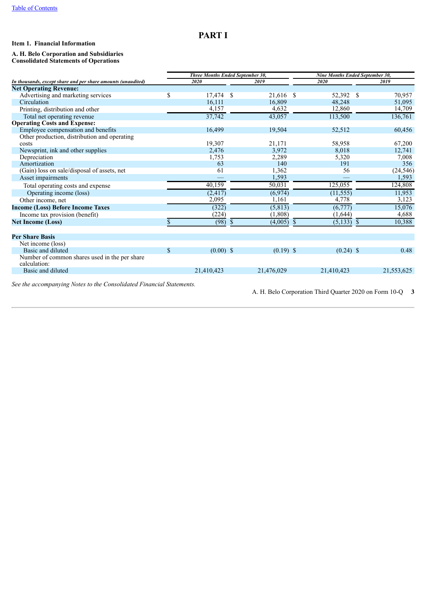# <span id="page-2-0"></span>**PART I**

# <span id="page-2-1"></span>**Item 1. Financial Information**

#### **A. H. Belo Corporation and Subsidiaries Consolidated Statements of Operations**

|                                                               |             | Three Months Ended September 30, |             |                          | Nine Months Ended September 30, |
|---------------------------------------------------------------|-------------|----------------------------------|-------------|--------------------------|---------------------------------|
| In thousands, except share and per share amounts (unaudited)  |             | 2020                             | 2019        | 2020                     | 2019                            |
| <b>Net Operating Revenue:</b>                                 |             |                                  |             |                          |                                 |
| Advertising and marketing services                            | \$          | $17,474$ \$                      | 21,616      | 52,392 \$<br>- \$        | 70,957                          |
| Circulation                                                   |             | 16,111                           | 16,809      | 48,248                   | 51,095                          |
| Printing, distribution and other                              |             | 4,157                            | 4,632       | 12,860                   | 14,709                          |
| Total net operating revenue                                   |             | 37,742                           | 43,057      | 113,500                  | 136,761                         |
| <b>Operating Costs and Expense:</b>                           |             |                                  |             |                          |                                 |
| Employee compensation and benefits                            |             | 16,499                           | 19,504      | 52,512                   | 60,456                          |
| Other production, distribution and operating                  |             |                                  |             |                          |                                 |
| costs                                                         |             | 19,307                           | 21.171      | 58,958                   | 67,200                          |
| Newsprint, ink and other supplies                             |             | 2,476                            | 3,972       | 8,018                    | 12,741                          |
| Depreciation                                                  |             | 1,753                            | 2,289       | 5,320                    | 7,008                           |
| Amortization                                                  |             | 63                               | 140         | 191                      | 356                             |
| (Gain) loss on sale/disposal of assets, net                   |             | 61                               | 1,362       | 56                       | (24, 546)                       |
| Asset impairments                                             |             |                                  | 1,593       |                          | 1,593                           |
| Total operating costs and expense                             |             | 40,159                           | 50,031      | 125,055                  | 124,808                         |
| Operating income (loss)                                       |             | (2, 417)                         | (6,974)     | (11, 555)                | 11,953                          |
| Other income, net                                             |             | 2,095                            | 1,161       | 4,778                    | 3,123                           |
| <b>Income (Loss) Before Income Taxes</b>                      |             | (322)                            | (5, 813)    | (6,777)                  | 15,076                          |
| Income tax provision (benefit)                                |             | (224)                            | (1,808)     | (1,644)                  | 4,688                           |
| <b>Net Income (Loss)</b>                                      |             | (98)<br><sup>\$</sup>            | (4,005)     | (5, 133)<br><sup>S</sup> | 10,388<br><sup>S</sup>          |
|                                                               |             |                                  |             |                          |                                 |
| <b>Per Share Basis</b>                                        |             |                                  |             |                          |                                 |
| Net income (loss)                                             |             |                                  |             |                          |                                 |
| Basic and diluted                                             | $\mathbf S$ | $(0.00)$ \$                      | $(0.19)$ \$ | $(0.24)$ \$              | 0.48                            |
| Number of common shares used in the per share<br>calculation: |             |                                  |             |                          |                                 |
| Basic and diluted                                             |             | 21.410.423                       | 21,476,029  | 21,410,423               | 21,553,625                      |
|                                                               |             |                                  |             |                          |                                 |

*See the accompanying Notes to the Consolidated Financial Statements.*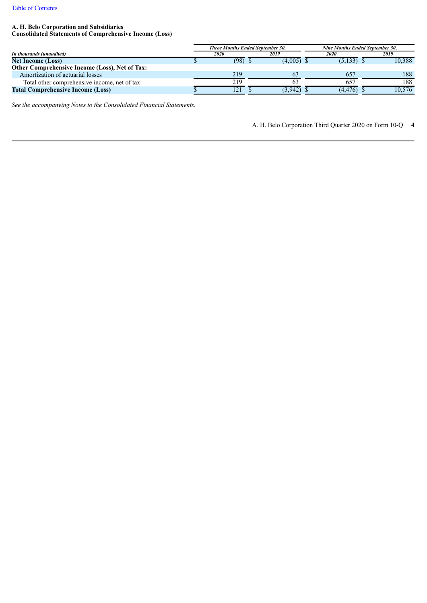# Table of [Contents](#page-1-0)

# **A. H. Belo Corporation and Subsidiaries**

**Consolidated Statements of Comprehensive Income (Loss)**

|                                                       |             |      | <b>Three Months Ended September 30,</b> | <b>Nine Months Ended September 30,</b> |        |  |  |  |
|-------------------------------------------------------|-------------|------|-----------------------------------------|----------------------------------------|--------|--|--|--|
| In thousands (unaudited)                              | <i>2020</i> |      | 2019                                    | 2020                                   | 2019   |  |  |  |
| <b>Net Income (Loss)</b>                              |             | (98) | $(4.005)$ \$                            | $(5,133)$ \$                           | 10,388 |  |  |  |
| <b>Other Comprehensive Income (Loss), Net of Tax:</b> |             |      |                                         |                                        |        |  |  |  |
| Amortization of actuarial losses                      |             | 219  | 6:                                      | $65^{\circ}$                           | 188    |  |  |  |
| Total other comprehensive income, net of tax          |             | 219  |                                         | -65                                    | 188    |  |  |  |
| <b>Total Comprehensive Income (Loss)</b>              |             | 121  | (3,942)                                 | (4, 476)                               | 10.576 |  |  |  |

*See the accompanying Notes to the Consolidated Financial Statements.*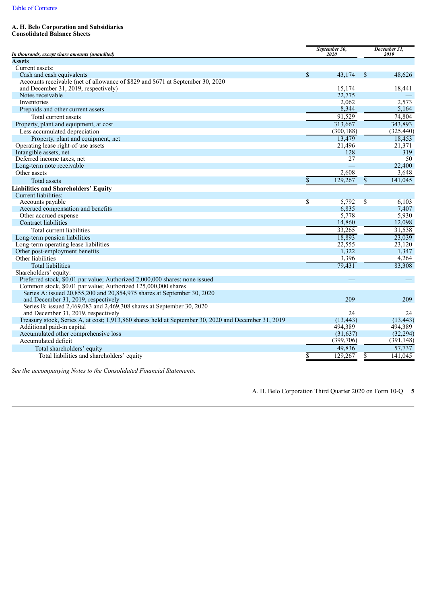# Table of [Contents](#page-1-0)

#### **A. H. Belo Corporation and Subsidiaries**

**Consolidated Balance Sheets**

| In thousands, except share amounts (unaudited)                                                       |                         | September 30,<br>2020 |                         | December 31,<br>2019 |
|------------------------------------------------------------------------------------------------------|-------------------------|-----------------------|-------------------------|----------------------|
| <b>Assets</b>                                                                                        |                         |                       |                         |                      |
| Current assets:                                                                                      |                         |                       |                         |                      |
| Cash and cash equivalents                                                                            | \$                      | 43,174                | $\mathcal{S}$           | 48.626               |
| Accounts receivable (net of allowance of \$829 and \$671 at September 30, 2020                       |                         |                       |                         |                      |
| and December 31, 2019, respectively)                                                                 |                         | 15,174                |                         | 18,441               |
| Notes receivable                                                                                     |                         | 22,775                |                         |                      |
| Inventories                                                                                          |                         | 2,062                 |                         | 2,573                |
| Prepaids and other current assets                                                                    |                         | 8,344                 |                         | 5,164                |
| Total current assets                                                                                 |                         | 91.529                |                         | 74,804               |
| Property, plant and equipment, at cost                                                               |                         | 313,667               |                         | 343,893              |
| Less accumulated depreciation                                                                        |                         | (300, 188)            |                         | (325, 440)           |
| Property, plant and equipment, net                                                                   |                         | 13,479                |                         | 18,453               |
| Operating lease right-of-use assets                                                                  |                         | 21,496                |                         | 21,371               |
| Intangible assets, net                                                                               |                         | 128                   |                         | 319                  |
| Deferred income taxes, net                                                                           |                         | 27                    |                         | 50                   |
| Long-term note receivable                                                                            |                         |                       |                         | 22,400               |
| Other assets                                                                                         |                         | 2,608                 |                         | 3,648                |
| Total assets                                                                                         | \$                      | 129,267               | \$                      | 141,045              |
| Liabilities and Shareholders' Equity                                                                 |                         |                       |                         |                      |
| Current liabilities:                                                                                 |                         |                       |                         |                      |
| Accounts payable                                                                                     | \$                      | 5,792                 | S                       | 6,103                |
| Accrued compensation and benefits                                                                    |                         | 6,835                 |                         | 7,407                |
| Other accrued expense                                                                                |                         | 5,778                 |                         | 5,930                |
| <b>Contract liabilities</b>                                                                          |                         | 14,860                |                         | 12,098               |
| Total current liabilities                                                                            |                         | 33,265                |                         | 31,538               |
| Long-term pension liabilities                                                                        |                         | 18,893                |                         | 23,039               |
| Long-term operating lease liabilities                                                                |                         | 22,555                |                         | 23,120               |
| Other post-employment benefits                                                                       |                         | 1,322                 |                         | 1,347                |
| Other liabilities                                                                                    |                         | 3,396                 |                         | 4,264                |
| <b>Total liabilities</b>                                                                             |                         | 79,431                |                         | 83,308               |
| Shareholders' equity:                                                                                |                         |                       |                         |                      |
| Preferred stock, \$0.01 par value; Authorized 2,000,000 shares; none issued                          |                         |                       |                         |                      |
| Common stock, \$0.01 par value; Authorized 125,000,000 shares                                        |                         |                       |                         |                      |
| Series A: issued 20,855,200 and 20,854,975 shares at September 30, 2020                              |                         |                       |                         |                      |
| and December 31, 2019, respectively                                                                  |                         | 209                   |                         | 209                  |
| Series B: issued 2,469,083 and 2,469,308 shares at September 30, 2020                                |                         |                       |                         |                      |
| and December 31, 2019, respectively                                                                  |                         | 24                    |                         | 24                   |
| Treasury stock, Series A, at cost; 1,913,860 shares held at September 30, 2020 and December 31, 2019 |                         | (13, 443)             |                         | (13, 443)            |
| Additional paid-in capital                                                                           |                         | 494,389<br>(31, 637)  |                         | 494,389<br>(32, 294) |
| Accumulated other comprehensive loss<br>Accumulated deficit                                          |                         | (399,706)             |                         | (391, 148)           |
|                                                                                                      |                         | 49,836                |                         | 57.737               |
| Total shareholders' equity                                                                           |                         |                       |                         |                      |
| Total liabilities and shareholders' equity                                                           | $\overline{\mathbb{S}}$ | 129,267               | $\overline{\mathbb{S}}$ | 141,045              |

*See the accompanying Notes to the Consolidated Financial Statements.*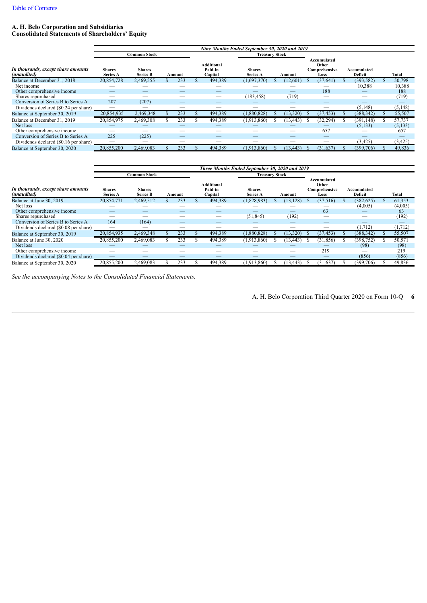# **A. H. Belo Corporation and Subsidiaries Consolidated Statements of Shareholders' Equity**

|                                                   |                                  |                                  | Nine Months Ended September 30, 2020 and 2019 |                       |                                         |                                  |  |           |  |                                               |  |                        |  |         |  |
|---------------------------------------------------|----------------------------------|----------------------------------|-----------------------------------------------|-----------------------|-----------------------------------------|----------------------------------|--|-----------|--|-----------------------------------------------|--|------------------------|--|---------|--|
|                                                   |                                  | <b>Common Stock</b>              |                                               | <b>Treasury Stock</b> |                                         |                                  |  |           |  |                                               |  |                        |  |         |  |
| In thousands, except share amounts<br>(unaudited) | <b>Shares</b><br><b>Series A</b> | <b>Shares</b><br><b>Series B</b> | Amount                                        |                       | <b>Additional</b><br>Paid-in<br>Capital | <b>Shares</b><br><b>Series A</b> |  | Amount    |  | Accumulated<br>Other<br>Comprehensive<br>Loss |  | Accumulated<br>Deficit |  | Total   |  |
| Balance at December 31, 2018                      | 20,854,728                       | 2,469,555                        | 233                                           |                       | 494,389                                 | (1,697,370)                      |  | (12, 601) |  | (37, 641)                                     |  | (393, 582)             |  | 50,798  |  |
| Net income                                        |                                  |                                  |                                               |                       |                                         |                                  |  |           |  |                                               |  | 10,388                 |  | 10,388  |  |
| Other comprehensive income                        |                                  |                                  |                                               |                       |                                         |                                  |  |           |  | 188                                           |  |                        |  | 188     |  |
| Shares repurchased                                |                                  |                                  |                                               |                       |                                         | (183, 458)                       |  | (719)     |  |                                               |  |                        |  | (719)   |  |
| Conversion of Series B to Series A                | 207                              | (207)                            |                                               |                       |                                         |                                  |  |           |  |                                               |  |                        |  |         |  |
| Dividends declared (\$0.24 per share)             |                                  |                                  |                                               |                       |                                         |                                  |  |           |  |                                               |  | (5,148)                |  | (5,148) |  |
| Balance at September 30, 2019                     | 20,854,935                       | 2,469,348                        | 233                                           |                       | 494,389                                 | (1,880,828)                      |  | (13, 320) |  | (37, 453)                                     |  | (388, 342)             |  | 55,507  |  |
| Balance at December 31, 2019                      | 20,854,975                       | 2,469,308                        | 233                                           |                       | 494,389                                 | (1,913,860)                      |  | (13, 443) |  | (32, 294)                                     |  | (391, 148)             |  | 57,737  |  |
| Net loss                                          |                                  |                                  |                                               |                       |                                         |                                  |  |           |  |                                               |  | (5, 133)               |  | (5,133) |  |
| Other comprehensive income                        |                                  |                                  |                                               |                       |                                         |                                  |  |           |  | 657                                           |  |                        |  | 657     |  |
| Conversion of Series B to Series A                | 225                              | (225)                            |                                               |                       |                                         |                                  |  |           |  |                                               |  |                        |  |         |  |
| Dividends declared (\$0.16 per share)             |                                  |                                  |                                               |                       |                                         |                                  |  |           |  |                                               |  | (3, 425)               |  | (3,425) |  |
| Balance at September 30, 2020                     | 20,855,200                       | 2,469,083                        | 233                                           |                       | 494,389                                 | (1,913,860)                      |  | (13, 443) |  | (31, 637)                                     |  | (399, 706)             |  | 49,836  |  |

|                                                   | Three Months Ended September 30, 2020 and 2019 |                                  |  |        |  |                                         |                                  |  |           |  |                                               |                        |  |         |
|---------------------------------------------------|------------------------------------------------|----------------------------------|--|--------|--|-----------------------------------------|----------------------------------|--|-----------|--|-----------------------------------------------|------------------------|--|---------|
|                                                   |                                                | <b>Common Stock</b>              |  |        |  |                                         | <b>Treasury Stock</b>            |  |           |  |                                               |                        |  |         |
| In thousands, except share amounts<br>(unaudited) | <b>Shares</b><br><b>Series A</b>               | <b>Shares</b><br><b>Series B</b> |  | Amount |  | <b>Additional</b><br>Paid-in<br>Capital | <b>Shares</b><br><b>Series A</b> |  | Amount    |  | Accumulated<br>Other<br>Comprehensive<br>Loss | Accumulated<br>Deficit |  | Total   |
| Balance at June 30, 2019                          | 20,854,771                                     | 2,469,512                        |  | 233    |  | 494,389                                 | (1,828,983)                      |  | (13, 128) |  | (37, 516)                                     | (382, 625)             |  | 61,353  |
| Net loss                                          |                                                |                                  |  |        |  |                                         |                                  |  |           |  |                                               | (4,005)                |  | (4,005) |
| Other comprehensive income                        |                                                |                                  |  |        |  |                                         |                                  |  |           |  | 63                                            | –                      |  | 63      |
| Shares repurchased                                |                                                |                                  |  |        |  | –                                       | (51, 845)                        |  | (192)     |  |                                               | –                      |  | (192)   |
| Conversion of Series B to Series A                | 164                                            | (164)                            |  |        |  | _                                       |                                  |  |           |  |                                               |                        |  |         |
| Dividends declared (\$0.08 per share)             |                                                |                                  |  |        |  |                                         |                                  |  |           |  |                                               | (1,712)                |  | (1,712) |
| Balance at September 30, 2019                     | 20,854,935                                     | 2,469,348                        |  | 233    |  | 494,389                                 | (1,880,828)                      |  | (13, 320) |  | (37, 453)                                     | (388, 342)             |  | 55,507  |
| Balance at June 30, 2020                          | 20,855,200                                     | 2,469,083                        |  | 233    |  | 494,389                                 | (1,913,860)                      |  | (13, 443) |  | (31, 856)                                     | (398, 752)             |  | 50,571  |
| Net loss                                          |                                                |                                  |  |        |  |                                         |                                  |  |           |  |                                               | (98)                   |  | (98)    |
| Other comprehensive income                        |                                                |                                  |  |        |  |                                         |                                  |  |           |  | 219                                           |                        |  | 219     |
| Dividends declared (\$0.04 per share)             |                                                |                                  |  |        |  |                                         |                                  |  |           |  | __                                            | (856)                  |  | (856)   |
| Balance at September 30, 2020                     | 20,855,200                                     | 2,469,083                        |  | 233    |  | 494,389                                 | (1,913,860)                      |  | (13, 443) |  | (31, 637)                                     | (399,706)              |  | 49,836  |

*See the accompanying Notes to the Consolidated Financial Statements.*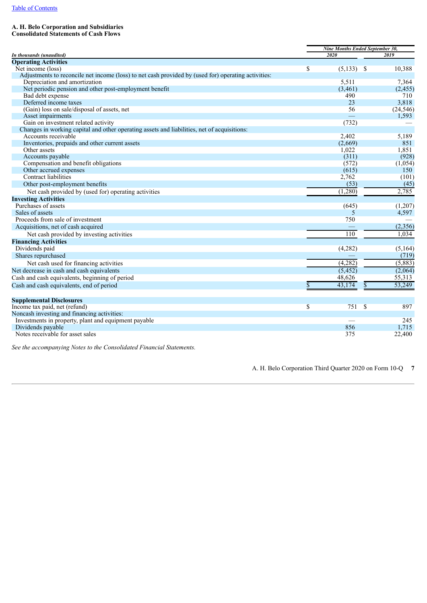# **A. H. Belo Corporation and Subsidiaries**

**Consolidated Statements of Cash Flows**

|                                                                                                     |                | Nine Months Ended September 30, |           |  |
|-----------------------------------------------------------------------------------------------------|----------------|---------------------------------|-----------|--|
| In thousands (unaudited)                                                                            | 2020           |                                 | 2019      |  |
| <b>Operating Activities</b>                                                                         |                |                                 |           |  |
| Net income (loss)                                                                                   | \$<br>(5, 133) | -S                              | 10,388    |  |
| Adjustments to reconcile net income (loss) to net cash provided by (used for) operating activities: |                |                                 |           |  |
| Depreciation and amortization                                                                       | 5,511          |                                 | 7,364     |  |
| Net periodic pension and other post-employment benefit                                              | (3,461)        |                                 | (2, 455)  |  |
| Bad debt expense                                                                                    | 490            |                                 | 710       |  |
| Deferred income taxes                                                                               | 23             |                                 | 3,818     |  |
| (Gain) loss on sale/disposal of assets, net                                                         | 56             |                                 | (24, 546) |  |
| Asset impairments                                                                                   |                |                                 | 1,593     |  |
| Gain on investment related activity                                                                 | (732)          |                                 |           |  |
| Changes in working capital and other operating assets and liabilities, net of acquisitions:         |                |                                 |           |  |
| Accounts receivable                                                                                 | 2,402          |                                 | 5,189     |  |
| Inventories, prepaids and other current assets                                                      | (2,669)        |                                 | 851       |  |
| Other assets                                                                                        | 1,022          |                                 | 1,851     |  |
| Accounts payable                                                                                    | (311)          |                                 | (928)     |  |
| Compensation and benefit obligations                                                                | (572)          |                                 | (1,054)   |  |
| Other accrued expenses                                                                              | (615)          |                                 | 150       |  |
| Contract liabilities                                                                                | 2,762          |                                 | (101)     |  |
| Other post-employment benefits                                                                      | (53)           |                                 | (45)      |  |
| Net cash provided by (used for) operating activities                                                | (1,280)        |                                 | 2,785     |  |
| <b>Investing Activities</b>                                                                         |                |                                 |           |  |
| Purchases of assets                                                                                 | (645)          |                                 | (1,207)   |  |
| Sales of assets                                                                                     | 5              |                                 | 4,597     |  |
| Proceeds from sale of investment                                                                    | 750            |                                 |           |  |
| Acquisitions, net of cash acquired                                                                  |                |                                 | (2, 356)  |  |
| Net cash provided by investing activities                                                           | 110            |                                 | 1,034     |  |
| <b>Financing Activities</b>                                                                         |                |                                 |           |  |
| Dividends paid                                                                                      | (4,282)        |                                 | (5,164)   |  |
| Shares repurchased                                                                                  |                |                                 | (719)     |  |
| Net cash used for financing activities                                                              | (4,282)        |                                 | (5,883)   |  |
| Net decrease in cash and cash equivalents                                                           | (5, 452)       |                                 | (2,064)   |  |
| Cash and cash equivalents, beginning of period                                                      | 48,626         |                                 | 55,313    |  |
| Cash and cash equivalents, end of period                                                            | \$<br>43,174   | $\overline{\$}$                 | 53,249    |  |
|                                                                                                     |                |                                 |           |  |
| <b>Supplemental Disclosures</b>                                                                     |                |                                 |           |  |
| Income tax paid, net (refund)                                                                       | \$<br>751      | <sup>\$</sup>                   | 897       |  |
| Noncash investing and financing activities:                                                         |                |                                 |           |  |
| Investments in property, plant and equipment payable                                                |                |                                 | 245       |  |
| Dividends payable                                                                                   | 856            |                                 | 1,715     |  |
| Notes receivable for asset sales                                                                    | 375            |                                 | 22,400    |  |

*See the accompanying Notes to the Consolidated Financial Statements.*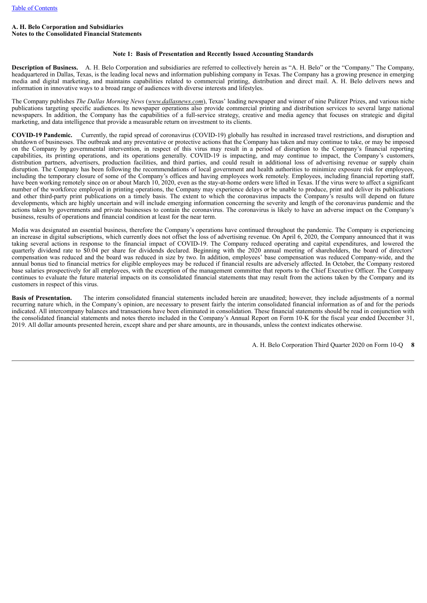### **A. H. Belo Corporation and Subsidiaries Notes to the Consolidated Financial Statements**

# **Note 1: Basis of Presentation and Recently Issued Accounting Standards**

**Description of Business.** A. H. Belo Corporation and subsidiaries are referred to collectively herein as "A. H. Belo" or the "Company." The Company, headquartered in Dallas, Texas, is the leading local news and information publishing company in Texas. The Company has a growing presence in emerging media and digital marketing, and maintains capabilities related to commercial printing, distribution and direct mail. A. H. Belo delivers news and information in innovative ways to a broad range of audiences with diverse interests and lifestyles.

The Company publishes *The Dallas Morning News* (*www.dallasnews.com*), Texas' leading newspaper and winner of nine Pulitzer Prizes, and various niche publications targeting specific audiences. Its newspaper operations also provide commercial printing and distribution services to several large national newspapers. In addition, the Company has the capabilities of a full-service strategy, creative and media agency that focuses on strategic and digital marketing, and data intelligence that provide a measurable return on investment to its clients.

**COVID-19 Pandemic.** Currently, the rapid spread of coronavirus (COVID-19) globally has resulted in increased travel restrictions, and disruption and shutdown of businesses. The outbreak and any preventative or protective actions that the Company has taken and may continue to take, or may be imposed on the Company by governmental intervention, in respect of this virus may result in a period of disruption to the Company's financial reporting capabilities, its printing operations, and its operations generally. COVID-19 is impacting, and may continue to impact, the Company's customers, distribution partners, advertisers, production facilities, and third parties, and could result in additional loss of advertising revenue or supply chain disruption. The Company has been following the recommendations of local government and health authorities to minimize exposure risk for employees, including the temporary closure of some of the Company's offices and having employees work remotely. Employees, including financial reporting staff, have been working remotely since on or about March 10, 2020, even as the stay-at-home orders were lifted in Texas. If the virus were to affect a significant number of the workforce employed in printing operations, the Company may experience delays or be unable to produce, print and deliver its publications and other third-party print publications on a timely basis. The extent to which the coronavirus impacts the Company's results will depend on future developments, which are highly uncertain and will include emerging information concerning the severity and length of the coronavirus pandemic and the actions taken by governments and private businesses to contain the coronavirus. The coronavirus is likely to have an adverse impact on the Company's business, results of operations and financial condition at least for the near term.

Media was designated an essential business, therefore the Company's operations have continued throughout the pandemic. The Company is experiencing an increase in digital subscriptions, which currently does not offset the loss of advertising revenue. On April 6, 2020, the Company announced that it was taking several actions in response to the financial impact of COVID-19. The Company reduced operating and capital expenditures, and lowered the quarterly dividend rate to \$0.04 per share for dividends declared. Beginning with the 2020 annual meeting of shareholders, the board of directors' compensation was reduced and the board was reduced in size by two. In addition, employees' base compensation was reduced Company-wide, and the annual bonus tied to financial metrics for eligible employees may be reduced if financial results are adversely affected. In October, the Company restored base salaries prospectively for all employees, with the exception of the management committee that reports to the Chief Executive Officer. The Company continues to evaluate the future material impacts on its consolidated financial statements that may result from the actions taken by the Company and its customers in respect of this virus.

**Basis of Presentation.** The interim consolidated financial statements included herein are unaudited; however, they include adjustments of a normal recurring nature which, in the Company's opinion, are necessary to present fairly the interim consolidated financial information as of and for the periods indicated. All intercompany balances and transactions have been eliminated in consolidation. These financial statements should be read in conjunction with the consolidated financial statements and notes thereto included in the Company's Annual Report on Form 10-K for the fiscal year ended December 31, 2019. All dollar amounts presented herein, except share and per share amounts, are in thousands, unless the context indicates otherwise.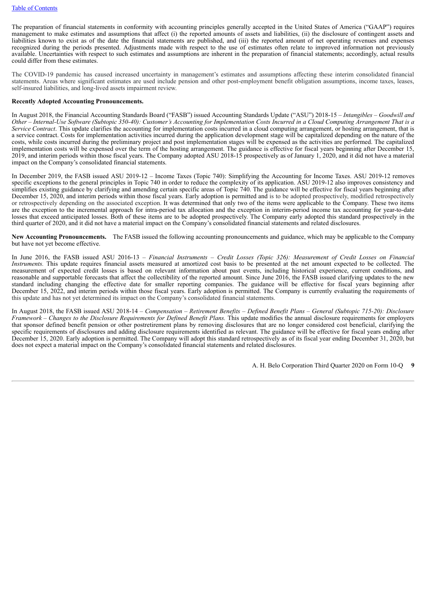The preparation of financial statements in conformity with accounting principles generally accepted in the United States of America ("GAAP") requires management to make estimates and assumptions that affect (i) the reported amounts of assets and liabilities, (ii) the disclosure of contingent assets and liabilities known to exist as of the date the financial statements are published, and (iii) the reported amount of net operating revenues and expenses recognized during the periods presented. Adjustments made with respect to the use of estimates often relate to improved information not previously available. Uncertainties with respect to such estimates and assumptions are inherent in the preparation of financial statements; accordingly, actual results could differ from these estimates.

The COVID-19 pandemic has caused increased uncertainty in management's estimates and assumptions affecting these interim consolidated financial statements. Areas where significant estimates are used include pension and other post-employment benefit obligation assumptions, income taxes, leases, self-insured liabilities, and long-lived assets impairment review.

#### **Recently Adopted Accounting Pronouncements.**

In August 2018, the Financial Accounting Standards Board ("FASB") issued Accounting Standards Update ("ASU") 2018-15 – *Intangibles – Goodwill and* Other - Internal-Use Software (Subtopic 350-40): Customer's Accounting for Implementation Costs Incurred in a Cloud Computing Arrangement That is a *Service Contract*. This update clarifies the accounting for implementation costs incurred in a cloud computing arrangement, or hosting arrangement, that is a service contract. Costs for implementation activities incurred during the application development stage will be capitalized depending on the nature of the costs, while costs incurred during the preliminary project and post implementation stages will be expensed as the activities are performed. The capitalized implementation costs will be expensed over the term of the hosting arrangement. The guidance is effective for fiscal years beginning after December 15, 2019, and interim periods within those fiscal years. The Company adopted ASU 2018-15 prospectively as of January 1, 2020, and it did not have a material impact on the Company's consolidated financial statements.

In December 2019, the FASB issued ASU 2019-12 – Income Taxes (Topic 740): Simplifying the Accounting for Income Taxes. ASU 2019-12 removes specific exceptions to the general principles in Topic 740 in order to reduce the complexity of its application. ASU 2019-12 also improves consistency and simplifies existing guidance by clarifying and amending certain specific areas of Topic 740. The guidance will be effective for fiscal years beginning after December 15, 2020, and interim periods within those fiscal years. Early adoption is permitted and is to be adopted prospectively, modified retrospectively or retrospectively depending on the associated exception. It was determined that only two of the items were applicable to the Company. These two items are the exception to the incremental approach for intra-period tax allocation and the exception in interim-period income tax accounting for year-to-date losses that exceed anticipated losses. Both of these items are to be adopted prospectively. The Company early adopted this standard prospectively in the third quarter of 2020, and it did not have a material impact on the Company's consolidated financial statements and related disclosures.

**New Accounting Pronouncements.** The FASB issued the following accounting pronouncements and guidance, which may be applicable to the Company but have not yet become effective.

In June 2016, the FASB issued ASU 2016-13 - Financial Instruments - Credit Losses (Topic 326): Measurement of Credit Losses on Financial *Instruments.* This update requires financial assets measured at amortized cost basis to be presented at the net amount expected to be collected. The measurement of expected credit losses is based on relevant information about past events, including historical experience, current conditions, and reasonable and supportable forecasts that affect the collectibility of the reported amount. Since June 2016, the FASB issued clarifying updates to the new standard including changing the effective date for smaller reporting companies. The guidance will be effective for fiscal years beginning after December 15, 2022, and interim periods within those fiscal years. Early adoption is permitted. The Company is currently evaluating the requirements of this update and has not yet determined its impact on the Company's consolidated financial statements.

<span id="page-8-0"></span>In August 2018, the FASB issued ASU 2018-14 – Compensation – Retirement Benefits – Defined Benefit Plans – General (Subtopic 715-20): Disclosure *Framework* – *Changes to the Disclosure Requirements for Defined Benefit Plans.* This update modifies the annual disclosure requirements for employers that sponsor defined benefit pension or other postretirement plans by removing disclosures that are no longer considered cost beneficial, clarifying the specific requirements of disclosures and adding disclosure requirements identified as relevant. The guidance will be effective for fiscal years ending after December 15, 2020. Early adoption is permitted. The Company will adopt this standard retrospectively as of its fiscal year ending December 31, 2020, but does not expect a material impact on the Company's consolidated financial statements and related disclosures.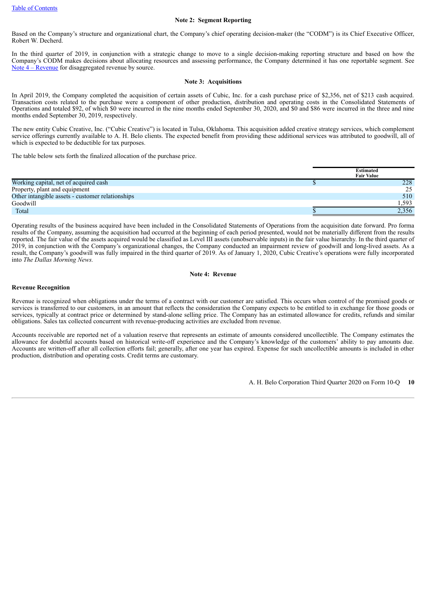#### **Note 2: Segment Reporting**

Based on the Company's structure and organizational chart, the Company's chief operating decision-maker (the "CODM") is its Chief Executive Officer, Robert W. Decherd.

In the third quarter of 2019, in conjunction with a strategic change to move to a single decision-making reporting structure and based on how the Company's CODM makes decisions about allocating resources and assessing performance, the Company determined it has one reportable segment. See Note 4 – [Revenue](#page-9-0) for disaggregated revenue by source.

#### **Note 3: Acquisitions**

In April 2019, the Company completed the acquisition of certain assets of Cubic, Inc. for a cash purchase price of \$2,356, net of \$213 cash acquired. Transaction costs related to the purchase were a component of other production, distribution and operating costs in the Consolidated Statements of Operations and totaled \$92, of which \$0 were incurred in the nine months ended September 30, 2020, and \$0 and \$86 were incurred in the three and nine months ended September 30, 2019, respectively.

The new entity Cubic Creative, Inc. ("Cubic Creative") is located in Tulsa, Oklahoma. This acquisition added creative strategy services, which complement service offerings currently available to A. H. Belo clients. The expected benefit from providing these additional services was attributed to goodwill, all of which is expected to be deductible for tax purposes.

The table below sets forth the finalized allocation of the purchase price.

|                                                  | <b>Estimated</b><br><b>Fair Value</b> |
|--------------------------------------------------|---------------------------------------|
| Working capital, net of acquired cash            | 228                                   |
| Property, plant and equipment                    | 25                                    |
| Other intangible assets - customer relationships | 510                                   |
| Goodwill                                         | 1,593                                 |
| Total                                            | 2,356                                 |

Operating results of the business acquired have been included in the Consolidated Statements of Operations from the acquisition date forward. Pro forma results of the Company, assuming the acquisition had occurred at the beginning of each period presented, would not be materially different from the results reported. The fair value of the assets acquired would be classified as Level III assets (unobservable inputs) in the fair value hierarchy. In the third quarter of 2019, in conjunction with the Company's organizational changes, the Company conducted an impairment review of goodwill and long-lived assets. As a result, the Company's goodwill was fully impaired in the third quarter of 2019. As of January 1, 2020, Cubic Creative's operations were fully incorporated into *The Dallas Morning News.*

#### **Note 4: Revenue**

#### <span id="page-9-0"></span>**Revenue Recognition**

Revenue is recognized when obligations under the terms of a contract with our customer are satisfied. This occurs when control of the promised goods or services is transferred to our customers, in an amount that reflects the consideration the Company expects to be entitled to in exchange for those goods or services, typically at contract price or determined by stand-alone selling price. The Company has an estimated allowance for credits, refunds and similar obligations. Sales tax collected concurrent with revenue-producing activities are excluded from revenue.

Accounts receivable are reported net of a valuation reserve that represents an estimate of amounts considered uncollectible. The Company estimates the allowance for doubtful accounts based on historical write-off experience and the Company's knowledge of the customers' ability to pay amounts due. Accounts are written-off after all collection efforts fail; generally, after one year has expired. Expense for such uncollectible amounts is included in other production, distribution and operating costs. Credit terms are customary.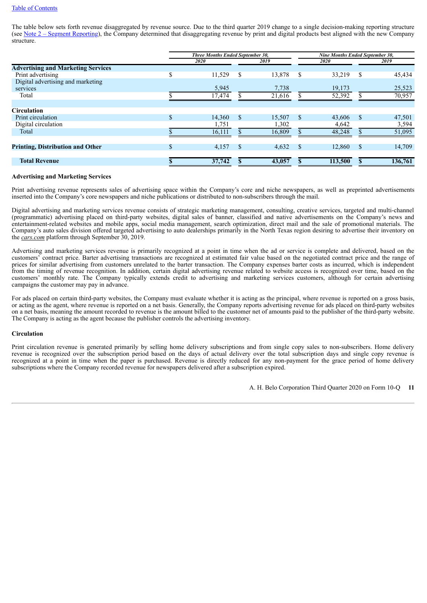The table below sets forth revenue disaggregated by revenue source. Due to the third quarter 2019 change to a single decision-making reporting structure (see <u>Note 2 – Segment Reporting</u>), the Company determined that disaggregating revenue by print and digital products best aligned with the new Company structure.

|                                           | Three Months Ended September 30, |        |               |        |               | Nine Months Ended September 30, |               |         |  |
|-------------------------------------------|----------------------------------|--------|---------------|--------|---------------|---------------------------------|---------------|---------|--|
|                                           |                                  | 2020   |               | 2019   |               | <i>2020</i>                     |               | 2019    |  |
| <b>Advertising and Marketing Services</b> |                                  |        |               |        |               |                                 |               |         |  |
| Print advertising                         | \$                               | 11,529 | S             | 13,878 | S             | 33,219                          | <sup>\$</sup> | 45,434  |  |
| Digital advertising and marketing         |                                  |        |               |        |               |                                 |               |         |  |
| services                                  |                                  | 5,945  |               | 7,738  |               | 19,173                          |               | 25,523  |  |
| Total                                     |                                  | 17,474 |               | 21,616 |               | 52,392                          |               | 70,957  |  |
|                                           |                                  |        |               |        |               |                                 |               |         |  |
| <b>Circulation</b>                        |                                  |        |               |        |               |                                 |               |         |  |
| Print circulation                         | \$                               | 14.360 | S             | 15,507 | S             | 43.606                          | - \$          | 47,501  |  |
| Digital circulation                       |                                  | 1,751  |               | 1,302  |               | 4,642                           |               | 3,594   |  |
| Total                                     |                                  | 16,111 |               | 16,809 |               | 48,248                          |               | 51,095  |  |
|                                           |                                  |        |               |        |               |                                 |               |         |  |
| <b>Printing, Distribution and Other</b>   | \$                               | 4,157  | <sup>\$</sup> | 4,632  | <sup>\$</sup> | 12,860                          | -S            | 14,709  |  |
|                                           |                                  |        |               |        |               |                                 |               |         |  |
| <b>Total Revenue</b>                      |                                  | 37,742 |               | 43,057 |               | 113,500                         |               | 136,761 |  |

#### **Advertising and Marketing Services**

Print advertising revenue represents sales of advertising space within the Company's core and niche newspapers, as well as preprinted advertisements inserted into the Company's core newspapers and niche publications or distributed to non-subscribers through the mail.

Digital advertising and marketing services revenue consists of strategic marketing management, consulting, creative services, targeted and multi-channel (programmatic) advertising placed on third-party websites, digital sales of banner, classified and native advertisements on the Company's news and entertainment-related websites and mobile apps, social media management, search optimization, direct mail and the sale of promotional materials. The Company's auto sales division offered targeted advertising to auto dealerships primarily in the North Texas region desiring to advertise their inventory on the *cars.com* platform through September 30, 2019.

Advertising and marketing services revenue is primarily recognized at a point in time when the ad or service is complete and delivered, based on the customers' contract price. Barter advertising transactions are recognized at estimated fair value based on the negotiated contract price and the range of prices for similar advertising from customers unrelated to the barter transaction. The Company expenses barter costs as incurred, which is independent from the timing of revenue recognition. In addition, certain digital advertising revenue related to website access is recognized over time, based on the customers' monthly rate. The Company typically extends credit to advertising and marketing services customers, although for certain advertising campaigns the customer may pay in advance.

For ads placed on certain third-party websites, the Company must evaluate whether it is acting as the principal, where revenue is reported on a gross basis, or acting as the agent, where revenue is reported on a net basis. Generally, the Company reports advertising revenue for ads placed on third-party websites on a net basis, meaning the amount recorded to revenue is the amount billed to the customer net of amounts paid to the publisher of the third-party website. The Company is acting as the agent because the publisher controls the advertising inventory.

#### **Circulation**

Print circulation revenue is generated primarily by selling home delivery subscriptions and from single copy sales to non-subscribers. Home delivery revenue is recognized over the subscription period based on the days of actual delivery over the total subscription days and single copy revenue is recognized at a point in time when the paper is purchased. Revenue is directly reduced for any non-payment for the grace period of home delivery subscriptions where the Company recorded revenue for newspapers delivered after a subscription expired.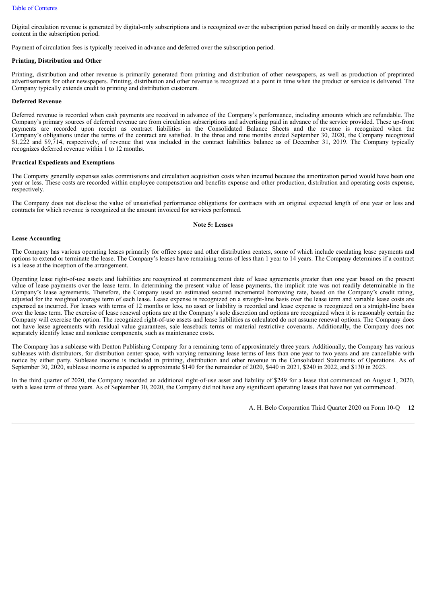Digital circulation revenue is generated by digital-only subscriptions and is recognized over the subscription period based on daily or monthly access to the content in the subscription period.

Payment of circulation fees is typically received in advance and deferred over the subscription period.

#### **Printing, Distribution and Other**

Printing, distribution and other revenue is primarily generated from printing and distribution of other newspapers, as well as production of preprinted advertisements for other newspapers. Printing, distribution and other revenue is recognized at a point in time when the product or service is delivered. The Company typically extends credit to printing and distribution customers.

#### **Deferred Revenue**

Deferred revenue is recorded when cash payments are received in advance of the Company's performance, including amounts which are refundable. The Company's primary sources of deferred revenue are from circulation subscriptions and advertising paid in advance of the service provided. These up-front payments are recorded upon receipt as contract liabilities in the Consolidated Balance Sheets and the revenue is recognized when the Company's obligations under the terms of the contract are satisfied. In the three and nine months ended September 30, 2020, the Company recognized \$1,222 and \$9,714, respectively, of revenue that was included in the contract liabilities balance as of December 31, 2019. The Company typically recognizes deferred revenue within 1 to 12 months.

#### **Practical Expedients and Exemptions**

The Company generally expenses sales commissions and circulation acquisition costs when incurred because the amortization period would have been one year or less. These costs are recorded within employee compensation and benefits expense and other production, distribution and operating costs expense, respectively.

The Company does not disclose the value of unsatisfied performance obligations for contracts with an original expected length of one year or less and contracts for which revenue is recognized at the amount invoiced for services performed.

#### **Note 5: Leases**

#### <span id="page-11-0"></span>**Lease Accounting**

The Company has various operating leases primarily for office space and other distribution centers, some of which include escalating lease payments and options to extend or terminate the lease. The Company's leases have remaining terms of less than 1 year to 14 years. The Company determines if a contract is a lease at the inception of the arrangement.

Operating lease right-of-use assets and liabilities are recognized at commencement date of lease agreements greater than one year based on the present value of lease payments over the lease term. In determining the present value of lease payments, the implicit rate was not readily determinable in the Company's lease agreements. Therefore, the Company used an estimated secured incremental borrowing rate, based on the Company's credit rating, adjusted for the weighted average term of each lease. Lease expense is recognized on a straight-line basis over the lease term and variable lease costs are expensed as incurred. For leases with terms of 12 months or less, no asset or liability is recorded and lease expense is recognized on a straight-line basis over the lease term. The exercise of lease renewal options are at the Company's sole discretion and options are recognized when it is reasonably certain the Company will exercise the option. The recognized right-of-use assets and lease liabilities as calculated do not assume renewal options. The Company does not have lease agreements with residual value guarantees, sale leaseback terms or material restrictive covenants. Additionally, the Company does not separately identify lease and nonlease components, such as maintenance costs.

The Company has a sublease with Denton Publishing Company for a remaining term of approximately three years. Additionally, the Company has various subleases with distributors, for distribution center space, with varying remaining lease terms of less than one year to two years and are cancellable with notice by either party. Sublease income is included in printing, distribution and other revenue in the Consolidated Statements of Operations. As of September 30, 2020, sublease income is expected to approximate \$140 for the remainder of 2020, \$440 in 2021, \$240 in 2022, and \$130 in 2023.

In the third quarter of 2020, the Company recorded an additional right-of-use asset and liability of \$249 for a lease that commenced on August 1, 2020, with a lease term of three years. As of September 30, 2020, the Company did not have any significant operating leases that have not yet commenced.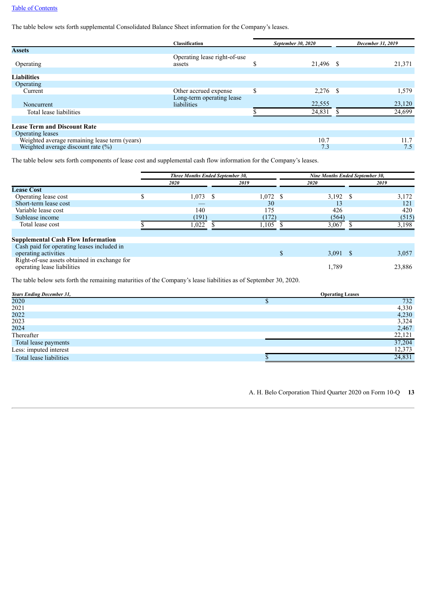The table below sets forth supplemental Consolidated Balance Sheet information for the Company's leases.

|                                               |                                          | September 30, 2020 | December 31, 2019 |        |  |
|-----------------------------------------------|------------------------------------------|--------------------|-------------------|--------|--|
| <b>Assets</b>                                 |                                          |                    |                   |        |  |
| Operating                                     | Operating lease right-of-use<br>assets   |                    | 21,496 \$         | 21,371 |  |
| <b>Liabilities</b>                            |                                          |                    |                   |        |  |
| Operating                                     |                                          |                    |                   |        |  |
| Current                                       | Other accrued expense                    | ъ                  | $2,276$ \$        | 1,579  |  |
| <b>Noncurrent</b>                             | Long-term operating lease<br>liabilities |                    | 22,555            | 23,120 |  |
| Total lease liabilities                       |                                          |                    | 24,831            | 24,699 |  |
|                                               |                                          |                    |                   |        |  |
| <b>Lease Term and Discount Rate</b>           |                                          |                    |                   |        |  |
| <b>Operating leases</b>                       |                                          |                    |                   |        |  |
| Weighted average remaining lease term (years) |                                          |                    | 10.7              | 11.7   |  |
| Weighted average discount rate $(\%)$         |                                          |                    | 7.3               | 7.5    |  |
|                                               |                                          |                    |                   |        |  |

The table below sets forth components of lease cost and supplemental cash flow information for the Company's leases.

|                                                                             | <b>Three Months Ended September 30,</b> |    |            | Nine Months Ended September 30, |        |
|-----------------------------------------------------------------------------|-----------------------------------------|----|------------|---------------------------------|--------|
|                                                                             | 2020                                    |    | 2019       | 2020                            | 2019   |
| <b>Lease Cost</b>                                                           |                                         |    |            |                                 |        |
| Operating lease cost                                                        | 1,073                                   | -S | $1,072$ \$ | $3,192$ \$                      | 3,172  |
| Short-term lease cost                                                       |                                         |    | 30         | 13                              | 121    |
| Variable lease cost                                                         | 140                                     |    | 175        | 426                             | 420    |
| Sublease income                                                             | (191)                                   |    | (172)      | (564)                           | (515)  |
| Total lease cost                                                            | .022                                    |    | .105       | 3,067                           | 3,198  |
| <b>Supplemental Cash Flow Information</b>                                   |                                         |    |            |                                 |        |
| Cash paid for operating leases included in<br>operating activities          |                                         |    |            | $3,091$ \$                      | 3,057  |
| Right-of-use assets obtained in exchange for<br>operating lease liabilities |                                         |    |            | 1,789                           | 23,886 |

The table below sets forth the remaining maturities of the Company's lease liabilities as of September 30, 2020.

| <b>Years Ending December 31,</b> | <b>Operating Leases</b> |
|----------------------------------|-------------------------|
| 2020                             | 732                     |
| 2021                             | 4,330                   |
| 2022                             | 4,230                   |
| 2023                             | 3,324                   |
| 2024                             | 2,467                   |
| Thereafter                       | 22,121                  |
| Total lease payments             | 37,204                  |
| Less: imputed interest           | 12,373                  |
| Total lease liabilities          | 24,831                  |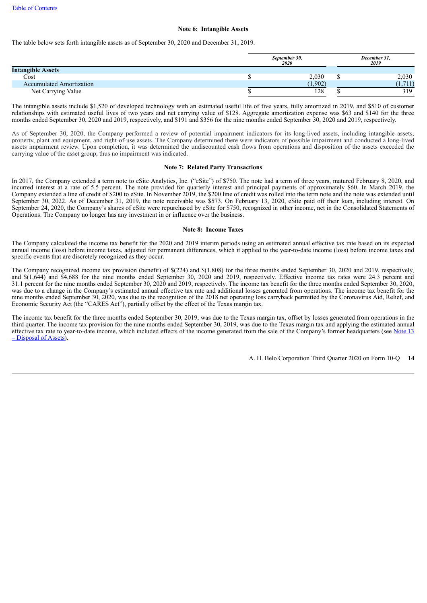#### **Note 6: Intangible Assets**

The table below sets forth intangible assets as of September 30, 2020 and December 31, 2019.

|                                 | September 30,<br><i>2020</i> | December 31,<br>2019 |       |  |  |
|---------------------------------|------------------------------|----------------------|-------|--|--|
| <b>Intangible Assets</b>        |                              |                      |       |  |  |
| Cost                            | 2,030                        |                      | 2,030 |  |  |
| <b>Accumulated Amortization</b> | (1,902)                      |                      | 1,711 |  |  |
| Net Carrying Value              | 128                          |                      | 319   |  |  |

The intangible assets include \$1,520 of developed technology with an estimated useful life of five years, fully amortized in 2019, and \$510 of customer relationships with estimated useful lives of two years and net carrying value of \$128. Aggregate amortization expense was \$63 and \$140 for the three months ended September 30, 2020 and 2019, respectively, and \$191 and \$356 for the nine months ended September 30, 2020 and 2019, respectively.

As of September 30, 2020, the Company performed a review of potential impairment indicators for its long-lived assets, including intangible assets, property, plant and equipment, and right-of-use assets. The Company determined there were indicators of possible impairment and conducted a long-lived assets impairment review. Upon completion, it was determined the undiscounted cash flows from operations and disposition of the assets exceeded the carrying value of the asset group, thus no impairment was indicated.

#### **Note 7: Related Party Transactions**

In 2017, the Company extended a term note to eSite Analytics, Inc. ("eSite") of \$750. The note had a term of three years, matured February 8, 2020, and incurred interest at a rate of 5.5 percent. The note provided for quarterly interest and principal payments of approximately \$60. In March 2019, the Company extended a line of credit of \$200 to eSite. In November 2019, the \$200 line of credit was rolled into the term note and the note was extended until September 30, 2022. As of December 31, 2019, the note receivable was \$573. On February 13, 2020, eSite paid off their loan, including interest. On September 24, 2020, the Company's shares of eSite were repurchased by eSite for \$750, recognized in other income, net in the Consolidated Statements of Operations. The Company no longer has any investment in or influence over the business.

#### **Note 8: Income Taxes**

The Company calculated the income tax benefit for the 2020 and 2019 interim periods using an estimated annual effective tax rate based on its expected annual income (loss) before income taxes, adjusted for permanent differences, which it applied to the year-to-date income (loss) before income taxes and specific events that are discretely recognized as they occur.

The Company recognized income tax provision (benefit) of \$(224) and \$(1,808) for the three months ended September 30, 2020 and 2019, respectively, and \$(1,644) and \$4,688 for the nine months ended September 30, 2020 and 2019, respectively. Effective income tax rates were 24.3 percent and 31.1 percent for the nine months ended September 30, 2020 and 2019, respectively. The income tax benefit for the three months ended September 30, 2020, was due to a change in the Company's estimated annual effective tax rate and additional losses generated from operations. The income tax benefit for the nine months ended September 30, 2020, was due to the recognition of the 2018 net operating loss carryback permitted by the Coronavirus Aid, Relief, and Economic Security Act (the "CARES Act"), partially offset by the effect of the Texas margin tax.

The income tax benefit for the three months ended September 30, 2019, was due to the Texas margin tax, offset by losses generated from operations in the third quarter. The income tax provision for the nine months ended September 30, 2019, was due to the Texas margin tax and applying the estimated annual effective tax rate to year-to-date income, which included effects of the income generated from the sale of the Company's former [headquarters](#page-16-0) (see Note 13 – Disposal of Assets).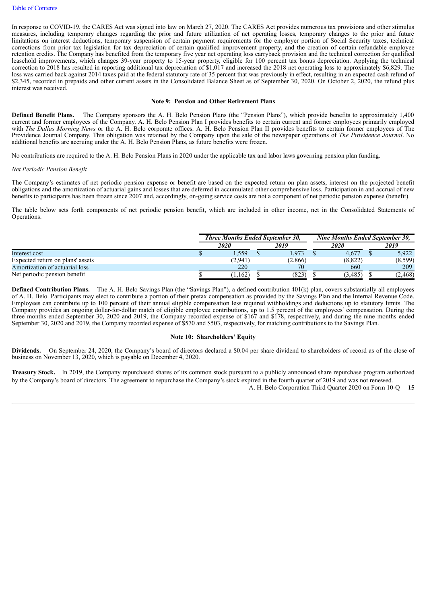In response to COVID-19, the CARES Act was signed into law on March 27, 2020. The CARES Act provides numerous tax provisions and other stimulus measures, including temporary changes regarding the prior and future utilization of net operating losses, temporary changes to the prior and future limitations on interest deductions, temporary suspension of certain payment requirements for the employer portion of Social Security taxes, technical corrections from prior tax legislation for tax depreciation of certain qualified improvement property, and the creation of certain refundable employee retention credits. The Company has benefited from the temporary five year net operating loss carryback provision and the technical correction for qualified leasehold improvements, which changes 39-year property to 15-year property, eligible for 100 percent tax bonus depreciation. Applying the technical correction to 2018 has resulted in reporting additional tax depreciation of \$1,017 and increased the 2018 net operating loss to approximately \$6,829. The loss was carried back against 2014 taxes paid at the federal statutory rate of 35 percent that was previously in effect, resulting in an expected cash refund of \$2,345, recorded in prepaids and other current assets in the Consolidated Balance Sheet as of September 30, 2020. On October 2, 2020, the refund plus interest was received.

#### **Note 9: Pension and Other Retirement Plans**

**Defined Benefit Plans.** The Company sponsors the A. H. Belo Pension Plans (the "Pension Plans"), which provide benefits to approximately 1,400 current and former employees of the Company. A. H. Belo Pension Plan I provides benefits to certain current and former employees primarily employed with *The Dallas Morning News* or the A. H. Belo corporate offices. A. H. Belo Pension Plan II provides benefits to certain former employees of The Providence Journal Company. This obligation was retained by the Company upon the sale of the newspaper operations of *The Providence Journal*. No additional benefits are accruing under the A. H. Belo Pension Plans, as future benefits were frozen.

No contributions are required to the A. H. Belo Pension Plans in 2020 under the applicable tax and labor laws governing pension plan funding.

#### *Net Periodic Pension Benefit*

The Company's estimates of net periodic pension expense or benefit are based on the expected return on plan assets, interest on the projected benefit obligations and the amortization of actuarial gains and losses that are deferred in accumulated other comprehensive loss. Participation in and accrual of new benefits to participants has been frozen since 2007 and, accordingly, on-going service costs are not a component of net periodic pension expense (benefit).

The table below sets forth components of net periodic pension benefit, which are included in other income, net in the Consolidated Statements of Operations.

|                                  |             |         | <b>Three Months Ended September 30,</b> |                    | <b>Nine Months Ended September 30,</b> |          |  |
|----------------------------------|-------------|---------|-----------------------------------------|--------------------|----------------------------------------|----------|--|
|                                  | <i>2020</i> |         | 2019                                    | <i><b>2020</b></i> |                                        | 2019     |  |
| Interest cost                    |             | 1,559   | 1.973                                   | 4.677              |                                        | 5,922    |  |
| Expected return on plans' assets |             | (2.941) | (2,866)                                 | (8,822)            |                                        | (8,599)  |  |
| Amortization of actuarial loss   |             | 220     | 70                                      | 660                |                                        | 209      |  |
| Net periodic pension benefit     |             | (1,162) | (823)                                   | (3.485)            |                                        | (2, 468) |  |

**Defined Contribution Plans.** The A. H. Belo Savings Plan (the "Savings Plan"), a defined contribution 401(k) plan, covers substantially all employees of A. H. Belo. Participants may elect to contribute a portion of their pretax compensation as provided by the Savings Plan and the Internal Revenue Code. Employees can contribute up to 100 percent of their annual eligible compensation less required withholdings and deductions up to statutory limits. The Company provides an ongoing dollar-for-dollar match of eligible employee contributions, up to 1.5 percent of the employees' compensation. During the three months ended September 30, 2020 and 2019, the Company recorded expense of \$167 and \$178, respectively, and during the nine months ended September 30, 2020 and 2019, the Company recorded expense of \$570 and \$503, respectively, for matching contributions to the Savings Plan.

#### **Note 10: Shareholders' Equity**

**Dividends.** On September 24, 2020, the Company's board of directors declared a \$0.04 per share dividend to shareholders of record as of the close of business on November 13, 2020, which is payable on December 4, 2020.

**Treasury Stock.** In 2019, the Company repurchased shares of its common stock pursuant to a publicly announced share repurchase program authorized by the Company's board of directors. The agreement to repurchase the Company's stock expired in the fourth quarter of 2019 and was not renewed. A. H. Belo Corporation Third Quarter 2020 on Form 10-Q **15**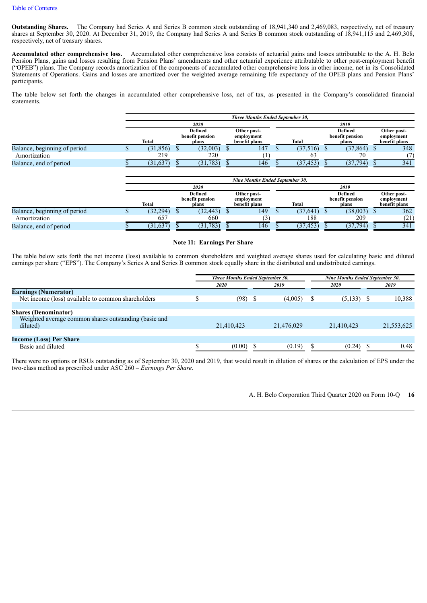**Outstanding Shares.** The Company had Series A and Series B common stock outstanding of 18,941,340 and 2,469,083, respectively, net of treasury shares at September 30, 2020. At December 31, 2019, the Company had Series A and Series B common stock outstanding of 18,941,115 and 2,469,308, respectively, net of treasury shares.

**Accumulated other comprehensive loss.** Accumulated other comprehensive loss consists of actuarial gains and losses attributable to the A. H. Belo Pension Plans, gains and losses resulting from Pension Plans' amendments and other actuarial experience attributable to other post-employment benefit ("OPEB") plans. The Company records amortization of the components of accumulated other comprehensive loss in other income, net in its Consolidated Statements of Operations. Gains and losses are amortized over the weighted average remaining life expectancy of the OPEB plans and Pension Plans' participants.

The table below set forth the changes in accumulated other comprehensive loss, net of tax, as presented in the Company's consolidated financial statements.

|                              |  | Three Months Ended September 30, |                                   |           |                           |     |  |              |  |                                   |  |                           |  |
|------------------------------|--|----------------------------------|-----------------------------------|-----------|---------------------------|-----|--|--------------|--|-----------------------------------|--|---------------------------|--|
|                              |  | 2020                             |                                   |           |                           |     |  |              |  | 2019                              |  |                           |  |
|                              |  |                                  | <b>Defined</b><br>benefit pension |           | Other post-<br>employment |     |  |              |  | <b>Defined</b><br>benefit pension |  | Other post-<br>employment |  |
|                              |  | Total                            |                                   | plans     | benefit plans             |     |  | <b>Total</b> |  | plans                             |  | benefit plans             |  |
| Balance, beginning of period |  | (31, 856)                        |                                   | (32,003)  |                           | 147 |  | (37,516)     |  | (37, 864)                         |  | 348                       |  |
| Amortization                 |  | 219                              |                                   | 220       |                           |     |  | 03           |  |                                   |  |                           |  |
| Balance, end of period       |  | (31, 637)                        |                                   | (31, 783) |                           | 146 |  | (37, 453)    |  | (37, 794)                         |  | 341                       |  |

|                              | <b>Nine Months Ended September 30,</b> |  |                                            |  |                                            |  |           |  |                                            |  |                                            |  |  |
|------------------------------|----------------------------------------|--|--------------------------------------------|--|--------------------------------------------|--|-----------|--|--------------------------------------------|--|--------------------------------------------|--|--|
|                              | 2020                                   |  |                                            |  |                                            |  |           |  | 2019                                       |  |                                            |  |  |
|                              | <b>Total</b>                           |  | <b>Defined</b><br>benefit pension<br>plans |  | Other post-<br>employment<br>benefit plans |  | Total     |  | <b>Defined</b><br>benefit pension<br>plans |  | Other post-<br>employment<br>benefit plans |  |  |
| Balance, beginning of period | (32, 294)                              |  | (32, 443)                                  |  | 149                                        |  | (37, 641) |  | (38,003)                                   |  | 362                                        |  |  |
| Amortization                 | 657                                    |  | 660                                        |  |                                            |  | 188       |  | 209                                        |  | (21)                                       |  |  |
| Balance, end of period       | (31, 637)                              |  | (31, 783)                                  |  | 146                                        |  | (37, 453) |  | (37, 794)                                  |  | 341                                        |  |  |

#### **Note 11: Earnings Per Share**

The table below sets forth the net income (loss) available to common shareholders and weighted average shares used for calculating basic and diluted earnings per share ("EPS"). The Company's Series A and Series B common stock equally share in the distributed and undistributed earnings.

|                                                       | <b>Three Months Ended September 30,</b> |      |            |  | <b>Nine Months Ended September 30,</b> |  |            |
|-------------------------------------------------------|-----------------------------------------|------|------------|--|----------------------------------------|--|------------|
|                                                       | 2020                                    | 2019 |            |  | <i>2020</i>                            |  | 2019       |
| <b>Earnings (Numerator)</b>                           |                                         |      |            |  |                                        |  |            |
| Net income (loss) available to common shareholders    | (98)                                    |      | (4,005)    |  | (5,133)                                |  | 10,388     |
|                                                       |                                         |      |            |  |                                        |  |            |
| <b>Shares (Denominator)</b>                           |                                         |      |            |  |                                        |  |            |
| Weighted average common shares outstanding (basic and |                                         |      |            |  |                                        |  |            |
| diluted)                                              | 21,410,423                              |      | 21,476,029 |  | 21.410.423                             |  | 21,553,625 |
|                                                       |                                         |      |            |  |                                        |  |            |
| <b>Income (Loss) Per Share</b>                        |                                         |      |            |  |                                        |  |            |
| Basic and diluted                                     | (0.00)                                  |      | (0.19)     |  | (0.24)                                 |  | 0.48       |

There were no options or RSUs outstanding as of September 30, 2020 and 2019, that would result in dilution of shares or the calculation of EPS under the two-class method as prescribed under ASC 260 – *Earnings Per Share*.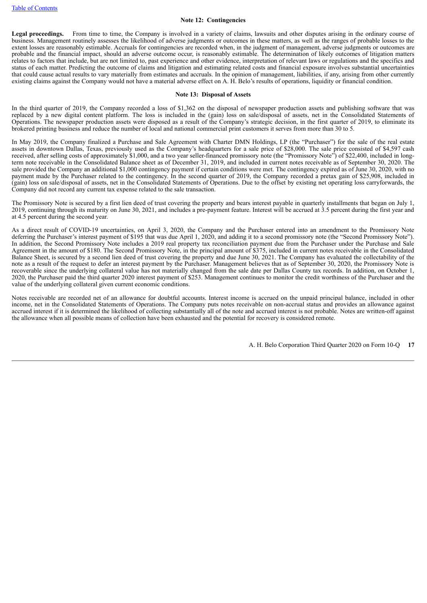#### **Note 12: Contingencies**

Legal proceedings. From time to time, the Company is involved in a variety of claims, lawsuits and other disputes arising in the ordinary course of business. Management routinely assesses the likelihood of adverse judgments or outcomes in these matters, as well as the ranges of probable losses to the extent losses are reasonably estimable. Accruals for contingencies are recorded when, in the judgment of management, adverse judgments or outcomes are probable and the financial impact, should an adverse outcome occur, is reasonably estimable. The determination of likely outcomes of litigation matters relates to factors that include, but are not limited to, past experience and other evidence, interpretation of relevant laws or regulations and the specifics and status of each matter. Predicting the outcome of claims and litigation and estimating related costs and financial exposure involves substantial uncertainties that could cause actual results to vary materially from estimates and accruals. In the opinion of management, liabilities, if any, arising from other currently existing claims against the Company would not have a material adverse effect on A. H. Belo's results of operations, liquidity or financial condition.

#### **Note 13: Disposal of Assets**

<span id="page-16-0"></span>In the third quarter of 2019, the Company recorded a loss of \$1,362 on the disposal of newspaper production assets and publishing software that was replaced by a new digital content platform. The loss is included in the (gain) loss on sale/disposal of assets, net in the Consolidated Statements of Operations. The newspaper production assets were disposed as a result of the Company's strategic decision, in the first quarter of 2019, to eliminate its brokered printing business and reduce the number of local and national commercial print customers it serves from more than 30 to 5.

In May 2019, the Company finalized a Purchase and Sale Agreement with Charter DMN Holdings, LP (the "Purchaser") for the sale of the real estate assets in downtown Dallas, Texas, previously used as the Company's headquarters for a sale price of \$28,000. The sale price consisted of \$4,597 cash received, after selling costs of approximately \$1,000, and a two year seller-financed promissory note (the "Promissory Note") of \$22,400, included in longterm note receivable in the Consolidated Balance sheet as of December 31, 2019, and included in current notes receivable as of September 30, 2020. The sale provided the Company an additional \$1,000 contingency payment if certain conditions were met. The contingency expired as of June 30, 2020, with no payment made by the Purchaser related to the contingency. In the second quarter of 2019, the Company recorded a pretax gain of \$25,908, included in (gain) loss on sale/disposal of assets, net in the Consolidated Statements of Operations. Due to the offset by existing net operating loss carryforwards, the Company did not record any current tax expense related to the sale transaction.

The Promissory Note is secured by a first lien deed of trust covering the property and bears interest payable in quarterly installments that began on July 1, 2019, continuing through its maturity on June 30, 2021, and includes a pre-payment feature. Interest will be accrued at 3.5 percent during the first year and at 4.5 percent during the second year.

As a direct result of COVID-19 uncertainties, on April 3, 2020, the Company and the Purchaser entered into an amendment to the Promissory Note deferring the Purchaser's interest payment of \$195 that was due April 1, 2020, and adding it to a second promissory note (the "Second Promissory Note"). In addition, the Second Promissory Note includes a 2019 real property tax reconciliation payment due from the Purchaser under the Purchase and Sale Agreement in the amount of \$180. The Second Promissory Note, in the principal amount of \$375, included in current notes receivable in the Consolidated Balance Sheet, is secured by a second lien deed of trust covering the property and due June 30, 2021. The Company has evaluated the collectability of the note as a result of the request to defer an interest payment by the Purchaser. Management believes that as of September 30, 2020, the Promissory Note is recoverable since the underlying collateral value has not materially changed from the sale date per Dallas County tax records. In addition, on October 1, 2020, the Purchaser paid the third quarter 2020 interest payment of \$253. Management continues to monitor the credit worthiness of the Purchaser and the value of the underlying collateral given current economic conditions.

Notes receivable are recorded net of an allowance for doubtful accounts. Interest income is accrued on the unpaid principal balance, included in other income, net in the Consolidated Statements of Operations. The Company puts notes receivable on non-accrual status and provides an allowance against accrued interest if it is determined the likelihood of collecting substantially all of the note and accrued interest is not probable. Notes are written-off against the allowance when all possible means of collection have been exhausted and the potential for recovery is considered remote.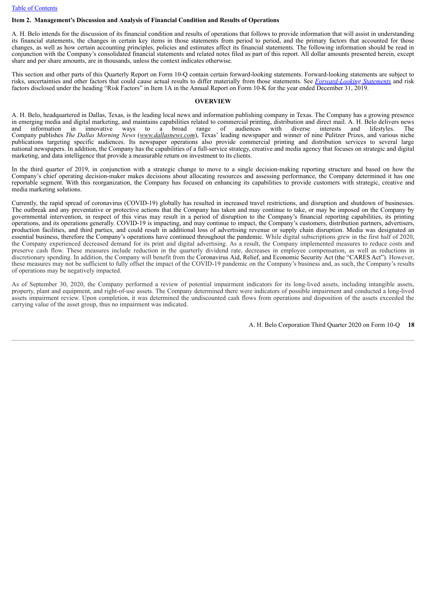#### Table of [Contents](#page-1-0)

# <span id="page-17-0"></span>**Item 2. Management's Discussion and Analysis of Financial Condition and Results of Operations**

A. H. Belo intends for the discussion of its financial condition and results of operations that follows to provide information that will assist in understanding its financial statements, the changes in certain key items in those statements from period to period, and the primary factors that accounted for those changes, as well as how certain accounting principles, policies and estimates affect its financial statements. The following information should be read in conjunction with the Company's consolidated financial statements and related notes filed as part of this report. All dollar amounts presented herein, except share and per share amounts, are in thousands, unless the context indicates otherwise.

This section and other parts of this Quarterly Report on Form 10-Q contain certain forward-looking statements. Forward-looking statements are subject to risks, uncertainties and other factors that could cause actual results to differ materially from those statements. See *[Forward-Looking](#page-25-2) Statements* and risk factors disclosed under the heading "Risk Factors" in Item 1A in the Annual Report on Form 10-K for the year ended December 31, 2019.

#### **OVERVIEW**

A. H. Belo, headquartered in Dallas, Texas, is the leading local news and information publishing company in Texas. The Company has a growing presence in emerging media and digital marketing, and maintains capabilities related to commercial printing, distribution and direct mail. A. H. Belo delivers news and information in innovative ways to a broad range of audiences wi and information in innovative ways to a broad range of audiences with diverse interests and lifestyles. The Company publishes *The Dallas Morning News* (*www.dallasnews.com*), Texas' leading newspaper and winner of nine Pulitzer Prizes, and various niche publications targeting specific audiences. Its newspaper operations also provide commercial printing and distribution services to several large national newspapers. In addition, the Company has the capabilities of a full-service strategy, creative and media agency that focuses on strategic and digital marketing, and data intelligence that provide a measurable return on investment to its clients.

In the third quarter of 2019, in conjunction with a strategic change to move to a single decision-making reporting structure and based on how the Company's chief operating decision-maker makes decisions about allocating resources and assessing performance, the Company determined it has one reportable segment. With this reorganization, the Company has focused on enhancing its capabilities to provide customers with strategic, creative and media marketing solutions.

Currently, the rapid spread of coronavirus (COVID-19) globally has resulted in increased travel restrictions, and disruption and shutdown of businesses. The outbreak and any preventative or protective actions that the Company has taken and may continue to take, or may be imposed on the Company by governmental intervention, in respect of this virus may result in a period of disruption to the Company's financial reporting capabilities, its printing operations, and its operations generally. COVID-19 is impacting, and may continue to impact, the Company's customers, distribution partners, advertisers, production facilities, and third parties, and could result in additional loss of advertising revenue or supply chain disruption. Media was designated an essential business, therefore the Company's operations have continued throughout the pandemic. While digital subscriptions grew in the first half of 2020, the Company experienced decreased demand for its print and digital advertising. As a result, the Company implemented measures to reduce costs and preserve cash flow. These measures include reduction in the quarterly dividend rate, decreases in employee compensation, as well as reductions in discretionary spending. In addition, the Company will benefit from the Coronavirus Aid, Relief, and Economic Security Act (the "CARES Act"). However, these measures may not be sufficient to fully offset the impact of the COVID-19 pandemic on the Company's business and, as such, the Company's results of operations may be negatively impacted.

As of September 30, 2020, the Company performed a review of potential impairment indicators for its long-lived assets, including intangible assets, property, plant and equipment, and right-of-use assets. The Company determined there were indicators of possible impairment and conducted a long-lived assets impairment review. Upon completion, it was determined the undiscounted cash flows from operations and disposition of the assets exceeded the carrying value of the asset group, thus no impairment was indicated.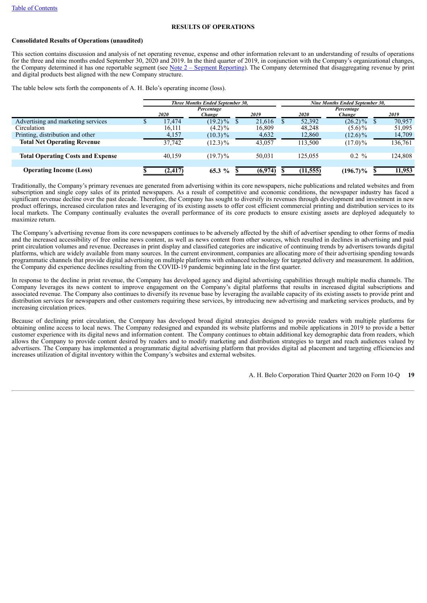#### **RESULTS OF OPERATIONS**

#### **Consolidated Results of Operations (unaudited)**

This section contains discussion and analysis of net operating revenue, expense and other information relevant to an understanding of results of operations for the three and nine months ended September 30, 2020 and 2019. In the third quarter of 2019, in conjunction with the Company's organizational changes, the Company determined it has one reportable segment (see Note 2 – Segment [Reporting\)](#page-8-0). The Company determined that disaggregating revenue by print and digital products best aligned with the new Company structure.

The table below sets forth the components of A. H. Belo's operating income (loss).

|                                          |    |             | <b>Three Months Ended September 30,</b> |         |           | Nine Months Ended September 30, |         |
|------------------------------------------|----|-------------|-----------------------------------------|---------|-----------|---------------------------------|---------|
|                                          |    | <i>2020</i> | Percentage<br>Change                    | 2019    | 2020      | Percentage<br>Change            | 2019    |
| Advertising and marketing services       | ۰D | 17.474      | $(19.2)\%$ \$                           | 21,616  | 52,392    | $(26.2)\%$                      | 70,957  |
| Circulation                              |    | 16.111      | $(4.2)\%$                               | 16,809  | 48,248    | $(5.6)\%$                       | 51,095  |
| Printing, distribution and other         |    | 4,157       | $(10.3)\%$                              | 4,632   | 12,860    | $(12.6)\%$                      | 14,709  |
| <b>Total Net Operating Revenue</b>       |    | 37.742      | $(12.3)\%$                              | 43.057  | 113.500   | $(17.0)\%$                      | 136,761 |
|                                          |    |             |                                         |         |           |                                 |         |
| <b>Total Operating Costs and Expense</b> |    | 40.159      | $(19.7)\%$                              | 50.031  | 125,055   | $0.2 \%$                        | 124,808 |
|                                          |    |             |                                         |         |           |                                 |         |
| <b>Operating Income (Loss)</b>           |    | (2, 417)    | 65.3 %                                  | (6,974) | (11, 555) | $(196.7)\%$                     | 11,953  |

Traditionally, the Company's primary revenues are generated from advertising within its core newspapers, niche publications and related websites and from subscription and single copy sales of its printed newspapers. As a result of competitive and economic conditions, the newspaper industry has faced a significant revenue decline over the past decade. Therefore, the Company has sought to diversify its revenues through development and investment in new product offerings, increased circulation rates and leveraging of its existing assets to offer cost efficient commercial printing and distribution services to its local markets. The Company continually evaluates the overall performance of its core products to ensure existing assets are deployed adequately to maximize return.

The Company's advertising revenue from its core newspapers continues to be adversely affected by the shift of advertiser spending to other forms of media and the increased accessibility of free online news content, as well as news content from other sources, which resulted in declines in advertising and paid print circulation volumes and revenue. Decreases in print display and classified categories are indicative of continuing trends by advertisers towards digital platforms, which are widely available from many sources. In the current environment, companies are allocating more of their advertising spending towards programmatic channels that provide digital advertising on multiple platforms with enhanced technology for targeted delivery and measurement. In addition, the Company did experience declines resulting from the COVID-19 pandemic beginning late in the first quarter.

In response to the decline in print revenue, the Company has developed agency and digital advertising capabilities through multiple media channels. The Company leverages its news content to improve engagement on the Company's digital platforms that results in increased digital subscriptions and associated revenue. The Company also continues to diversify its revenue base by leveraging the available capacity of its existing assets to provide print and distribution services for newspapers and other customers requiring these services, by introducing new advertising and marketing services products, and by increasing circulation prices.

Because of declining print circulation, the Company has developed broad digital strategies designed to provide readers with multiple platforms for obtaining online access to local news. The Company redesigned and expanded its website platforms and mobile applications in 2019 to provide a better customer experience with its digital news and information content. The Company continues to obtain additional key demographic data from readers, which allows the Company to provide content desired by readers and to modify marketing and distribution strategies to target and reach audiences valued by advertisers. The Company has implemented a programmatic digital advertising platform that provides digital ad placement and targeting efficiencies and increases utilization of digital inventory within the Company's websites and external websites.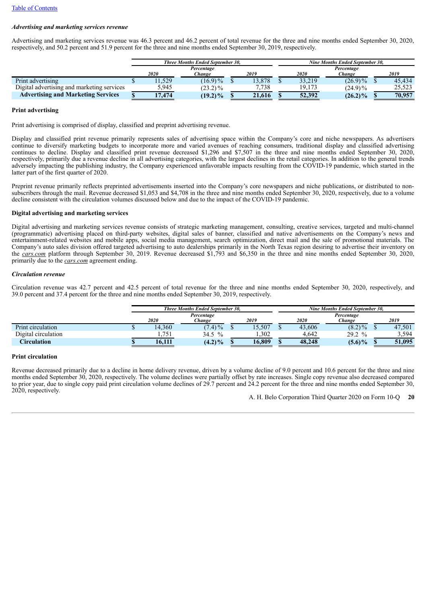# *Advertising and marketing services revenue*

Advertising and marketing services revenue was 46.3 percent and 46.2 percent of total revenue for the three and nine months ended September 30, 2020, respectively, and 50.2 percent and 51.9 percent for the three and nine months ended September 30, 2019, respectively.

|                                            |                                                    | <b>Three Months Ended September 30,</b> |  |        | <b>Nine Months Ended September 30,</b> |                      |        |
|--------------------------------------------|----------------------------------------------------|-----------------------------------------|--|--------|----------------------------------------|----------------------|--------|
|                                            | Percentage<br><i><b>2020</b></i><br>2019<br>Change |                                         |  |        | 2020                                   | Percentage<br>Change | 2019   |
| Print advertising                          | 11.529                                             | $(16.9)\%$                              |  | 13.878 | 33,219                                 | $(26.9)\%$           | 45.434 |
| Digital advertising and marketing services | 5.945                                              | $(23.2)\%$                              |  | 7.738  | 19.173                                 | $(24.9)\%$           | 25.523 |
| <b>Advertising and Marketing Services</b>  | 17,474                                             | $(19.2)\%$                              |  | 21,616 | 52,392                                 | $(26.2)\%$           | 70.957 |

#### **Print advertising**

Print advertising is comprised of display, classified and preprint advertising revenue.

Display and classified print revenue primarily represents sales of advertising space within the Company's core and niche newspapers. As advertisers continue to diversify marketing budgets to incorporate more and varied avenues of reaching consumers, traditional display and classified advertising continues to decline. Display and classified print revenue decreased \$1,296 and \$7,507 in the three and nine months ended September 30, 2020, respectively, primarily due a revenue decline in all advertising categories, with the largest declines in the retail categories. In addition to the general trends adversely impacting the publishing industry, the Company experienced unfavorable impacts resulting from the COVID-19 pandemic, which started in the latter part of the first quarter of 2020.

Preprint revenue primarily reflects preprinted advertisements inserted into the Company's core newspapers and niche publications, or distributed to nonsubscribers through the mail. Revenue decreased \$1,053 and \$4,708 in the three and nine months ended September 30, 2020, respectively, due to a volume decline consistent with the circulation volumes discussed below and due to the impact of the COVID-19 pandemic.

#### **Digital advertising and marketing services**

Digital advertising and marketing services revenue consists of strategic marketing management, consulting, creative services, targeted and multi-channel (programmatic) advertising placed on third-party websites, digital sales of banner, classified and native advertisements on the Company's news and entertainment-related websites and mobile apps, social media management, search optimization, direct mail and the sale of promotional materials. The Company's auto sales division offered targeted advertising to auto dealerships primarily in the North Texas region desiring to advertise their inventory on the *cars.com* platform through September 30, 2019. Revenue decreased \$1,793 and \$6,350 in the three and nine months ended September 30, 2020, primarily due to the *cars.com* agreement ending.

#### *Circulation revenue*

Circulation revenue was 42.7 percent and 42.5 percent of total revenue for the three and nine months ended September 30, 2020, respectively, and 39.0 percent and 37.4 percent for the three and nine months ended September 30, 2019, respectively.

|                     |        | <b>Three Months Ended September 30,</b> |        | Nine Months Ended September 30, |                       |        |
|---------------------|--------|-----------------------------------------|--------|---------------------------------|-----------------------|--------|
|                     | 2020   | Percentage<br><i><b>Change</b></i>      | 2019   | 2020                            | Percentage<br>Change  | 2019   |
| Print circulation   | 14.360 | $(7.4) \%$                              | 15.507 | 43,606                          | $(8.2)\%$             | 47,501 |
| Digital circulation | 1,751  | $\cdot$ %<br>34.5                       | 1.302  | 4.642                           | 29.2<br>$\frac{0}{0}$ | 3.594  |
| Circulation         | 16.111 | $(4.2)\%$                               | 16.809 | 48,248                          | $(5.6)\%$             | 51.095 |

#### **Print circulation**

Revenue decreased primarily due to a decline in home delivery revenue, driven by a volume decline of 9.0 percent and 10.6 percent for the three and nine months ended September 30, 2020, respectively. The volume declines were partially offset by rate increases. Single copy revenue also decreased compared to prior year, due to single copy paid print circulation volume declines of 29.7 percent and 24.2 percent for the three and nine months ended September 30, 2020, respectively.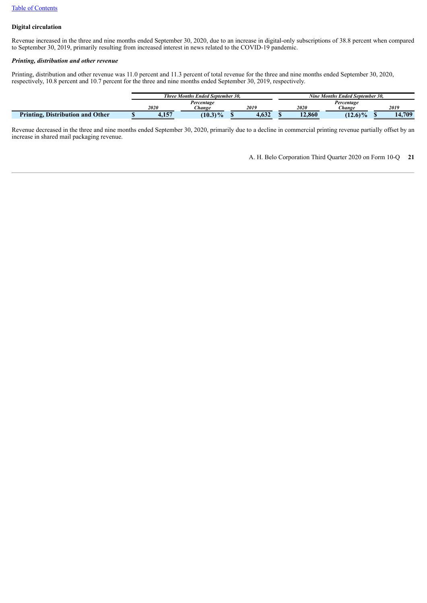#### **Digital circulation**

Revenue increased in the three and nine months ended September 30, 2020, due to an increase in digital-only subscriptions of 38.8 percent when compared to September 30, 2019, primarily resulting from increased interest in news related to the COVID-19 pandemic.

#### *Printing, distribution and other revenue*

Printing, distribution and other revenue was 11.0 percent and 11.3 percent of total revenue for the three and nine months ended September 30, 2020, respectively, 10.8 percent and 10.7 percent for the three and nine months ended September 30, 2019, respectively.

|                                     |                         | <b>Three Months Ended September 30,</b> |  |                             |  | Nine   | Months Ended September 30. |        |
|-------------------------------------|-------------------------|-----------------------------------------|--|-----------------------------|--|--------|----------------------------|--------|
|                                     |                         | Percentage                              |  |                             |  |        |                            |        |
|                                     | 2020                    | Change                                  |  | 2019                        |  | 2020   | hange.                     | 2019   |
| Distribution and Other<br>Printing. | 1.77<br><b>To 1.077</b> | $\mathcal{O}'$<br>10.3                  |  | $\sim$<br>4.03 <sub>4</sub> |  | 12.860 | $12.6\%$                   | 14.709 |

Revenue decreased in the three and nine months ended September 30, 2020, primarily due to a decline in commercial printing revenue partially offset by an increase in shared mail packaging revenue.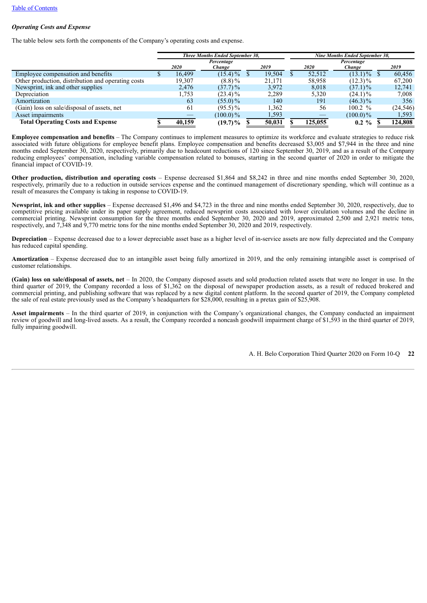#### Table of [Contents](#page-1-0)

# *Operating Costs and Expense*

The table below sets forth the components of the Company's operating costs and expense.

|                                                    |        | <b>Three Months Ended September 30,</b> |        | Nine Months Ended September 30, |             |                      |  |           |  |  |
|----------------------------------------------------|--------|-----------------------------------------|--------|---------------------------------|-------------|----------------------|--|-----------|--|--|
|                                                    | 2020   | Percentage<br>Change                    | 2019   |                                 | <i>2020</i> | Percentage<br>Change |  | 2019      |  |  |
| Employee compensation and benefits                 | 16,499 | $(15.4)\%$ \$                           | 19.504 |                                 | 52,512      | $(13.1)\%$           |  | 60,456    |  |  |
| Other production, distribution and operating costs | 19,307 | $(8.8)\%$                               | 21.171 |                                 | 58,958      | $(12.3)\%$           |  | 67.200    |  |  |
| Newsprint, ink and other supplies                  | 2.476  | $(37.7)\%$                              | 3.972  |                                 | 8.018       | $(37.1)\%$           |  | 12,741    |  |  |
| Depreciation                                       | 1,753  | $(23.4)\%$                              | 2.289  |                                 | 5,320       | $(24.1)\%$           |  | 7,008     |  |  |
| Amortization                                       | 63     | $(55.0)\%$                              | 140    |                                 | 191         | $(46.3)\%$           |  | 356       |  |  |
| (Gain) loss on sale/disposal of assets, net        | 61     | $(95.5)\%$                              | 1,362  |                                 | 56          | $100.2 \%$           |  | (24, 546) |  |  |
| Asset impairments                                  |        | $(100.0)\%$                             | 1,593  |                                 |             | $(100.0)\%$          |  | 1,593     |  |  |
| <b>Total Operating Costs and Expense</b>           | 40,159 | $(19.7)\%$                              | 50,031 |                                 | 125,055     | $0.2 \%$             |  | 124,808   |  |  |

**Employee compensation and benefits** – The Company continues to implement measures to optimize its workforce and evaluate strategies to reduce risk associated with future obligations for employee benefit plans. Employee compensation and benefits decreased \$3,005 and \$7,944 in the three and nine months ended September 30, 2020, respectively, primarily due to headcount reductions of 120 since September 30, 2019, and as a result of the Company reducing employees' compensation, including variable compensation related to bonuses, starting in the second quarter of 2020 in order to mitigate the financial impact of COVID-19.

**Other production, distribution and operating costs** – Expense decreased \$1,864 and \$8,242 in three and nine months ended September 30, 2020, respectively, primarily due to a reduction in outside services expense and the continued management of discretionary spending, which will continue as a result of measures the Company is taking in response to COVID-19.

**Newsprint, ink and other supplies** – Expense decreased \$1,496 and \$4,723 in the three and nine months ended September 30, 2020, respectively, due to competitive pricing available under its paper supply agreement, reduced newsprint costs associated with lower circulation volumes and the decline in commercial printing. Newsprint consumption for the three months ended September 30, 2020 and 2019, approximated 2,500 and 2,921 metric tons, respectively, and 7,348 and 9,770 metric tons for the nine months ended September 30, 2020 and 2019, respectively.

**Depreciation** – Expense decreased due to a lower depreciable asset base as a higher level of in-service assets are now fully depreciated and the Company has reduced capital spending.

**Amortization** – Expense decreased due to an intangible asset being fully amortized in 2019, and the only remaining intangible asset is comprised of customer relationships.

**(Gain) loss on sale/disposal of assets, net** – In 2020, the Company disposed assets and sold production related assets that were no longer in use. In the third quarter of 2019, the Company recorded a loss of \$1,362 on the disposal of newspaper production assets, as a result of reduced brokered and commercial printing, and publishing software that was replaced by a new digital content platform. In the second quarter of 2019, the Company completed the sale of real estate previously used as the Company's headquarters for \$28,000, resulting in a pretax gain of \$25,908.

**Asset impairments** – In the third quarter of 2019, in conjunction with the Company's organizational changes, the Company conducted an impairment review of goodwill and long-lived assets. As a result, the Company recorded a noncash goodwill impairment charge of \$1,593 in the third quarter of 2019, fully impairing goodwill.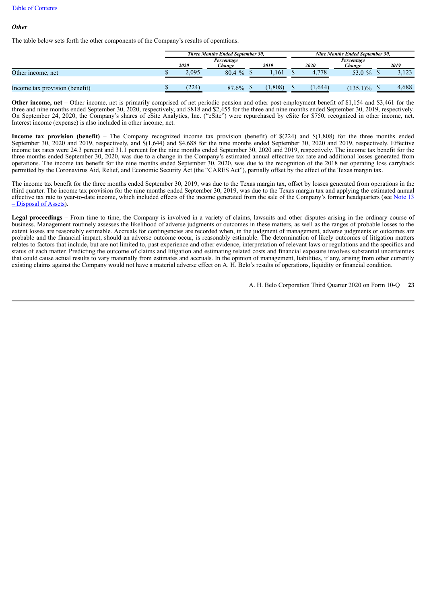#### Table of [Contents](#page-1-0)

### *Other*

The table below sets forth the other components of the Company's results of operations.

|                                | <b>Three Months Ended September 30,</b><br>Nine Months Ended September 30, |                      |  |       |             |                      |       |
|--------------------------------|----------------------------------------------------------------------------|----------------------|--|-------|-------------|----------------------|-------|
|                                | 2020                                                                       | Percentage<br>Change |  | 2019  | <i>2020</i> | Percentage<br>Change | 2019  |
| Other income, net              | 2.095                                                                      | 80.4%                |  | .161  | 4.778       | 53.0 %               |       |
| Income tax provision (benefit) | (224)                                                                      | 87.6%                |  | 1,808 | 1,644)      | $(135.1)\%$          | 4.688 |

**Other income, net** – Other income, net is primarily comprised of net periodic pension and other post-employment benefit of \$1,154 and \$3,461 for the three and nine months ended September 30, 2020, respectively, and \$818 and \$2,455 for the three and nine months ended September 30, 2019, respectively. On September 24, 2020, the Company's shares of eSite Analytics, Inc. ("eSite") were repurchased by eSite for \$750, recognized in other income, net. Interest income (expense) is also included in other income, net.

**Income tax provision (benefit)** – The Company recognized income tax provision (benefit) of \$(224) and \$(1,808) for the three months ended September 30, 2020 and 2019, respectively, and \$(1,644) and \$4,688 for the nine months ended September 30, 2020 and 2019, respectively. Effective income tax rates were 24.3 percent and 31.1 percent for the nine months ended September 30, 2020 and 2019, respectively. The income tax benefit for the three months ended September 30, 2020, was due to a change in the Company's estimated annual effective tax rate and additional losses generated from operations. The income tax benefit for the nine months ended September 30, 2020, was due to the recognition of the 2018 net operating loss carryback permitted by the Coronavirus Aid, Relief, and Economic Security Act (the "CARES Act"), partially offset by the effect of the Texas margin tax.

The income tax benefit for the three months ended September 30, 2019, was due to the Texas margin tax, offset by losses generated from operations in the third quarter. The income tax provision for the nine months ended September 30, 2019, was due to the Texas margin tax and applying the estimated annual effective tax rate to year-to-date income, which included effects of the income generated from the sale of the Company's former [headquarters](#page-16-0) (see Note 13 – Disposal of Assets).

**Legal proceedings** – From time to time, the Company is involved in a variety of claims, lawsuits and other disputes arising in the ordinary course of business. Management routinely assesses the likelihood of adverse judgments or outcomes in these matters, as well as the ranges of probable losses to the extent losses are reasonably estimable. Accruals for contingencies are recorded when, in the judgment of management, adverse judgments or outcomes are probable and the financial impact, should an adverse outcome occur, is reasonably estimable. The determination of likely outcomes of litigation matters relates to factors that include, but are not limited to, past experience and other evidence, interpretation of relevant laws or regulations and the specifics and status of each matter. Predicting the outcome of claims and litigation and estimating related costs and financial exposure involves substantial uncertainties that could cause actual results to vary materially from estimates and accruals. In the opinion of management, liabilities, if any, arising from other currently existing claims against the Company would not have a material adverse effect on A. H. Belo's results of operations, liquidity or financial condition.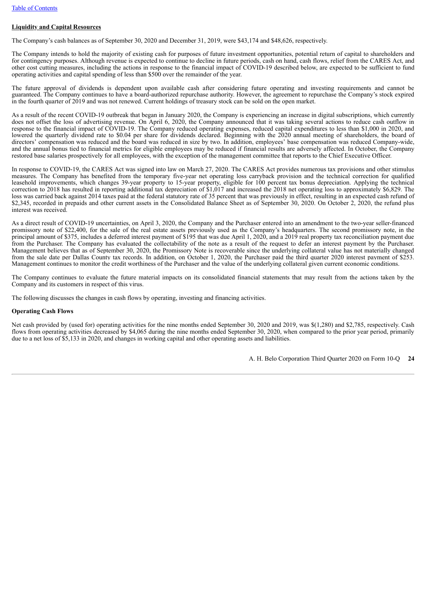# **Liquidity and Capital Resources**

The Company's cash balances as of September 30, 2020 and December 31, 2019, were \$43,174 and \$48,626, respectively.

The Company intends to hold the majority of existing cash for purposes of future investment opportunities, potential return of capital to shareholders and for contingency purposes. Although revenue is expected to continue to decline in future periods, cash on hand, cash flows, relief from the CARES Act, and other cost cutting measures, including the actions in response to the financial impact of COVID-19 described below, are expected to be sufficient to fund operating activities and capital spending of less than \$500 over the remainder of the year.

The future approval of dividends is dependent upon available cash after considering future operating and investing requirements and cannot be guaranteed. The Company continues to have a board-authorized repurchase authority. However, the agreement to repurchase the Company's stock expired in the fourth quarter of 2019 and was not renewed. Current holdings of treasury stock can be sold on the open market.

As a result of the recent COVID-19 outbreak that began in January 2020, the Company is experiencing an increase in digital subscriptions, which currently does not offset the loss of advertising revenue. On April 6, 2020, the Company announced that it was taking several actions to reduce cash outflow in response to the financial impact of COVID-19. The Company reduced operating expenses, reduced capital expenditures to less than \$1,000 in 2020, and lowered the quarterly dividend rate to \$0.04 per share for dividends declared. Beginning with the 2020 annual meeting of shareholders, the board of directors' compensation was reduced and the board was reduced in size by two. In addition, employees' base compensation was reduced Company-wide, and the annual bonus tied to financial metrics for eligible employees may be reduced if financial results are adversely affected. In October, the Company restored base salaries prospectively for all employees, with the exception of the management committee that reports to the Chief Executive Officer.

In response to COVID-19, the CARES Act was signed into law on March 27, 2020. The CARES Act provides numerous tax provisions and other stimulus measures. The Company has benefited from the temporary five-year net operating loss carryback provision and the technical correction for qualified leasehold improvements, which changes 39-year property to 15-year property, eligible for 100 percent tax bonus depreciation. Applying the technical correction to 2018 has resulted in reporting additional tax depreciation of \$1,017 and increased the 2018 net operating loss to approximately \$6,829. The loss was carried back against 2014 taxes paid at the federal statutory rate of 35 percent that was previously in effect, resulting in an expected cash refund of \$2,345, recorded in prepaids and other current assets in the Consolidated Balance Sheet as of September 30, 2020. On October 2, 2020, the refund plus interest was received.

As a direct result of COVID-19 uncertainties, on April 3, 2020, the Company and the Purchaser entered into an amendment to the two-year seller-financed promissory note of \$22,400, for the sale of the real estate assets previously used as the Company's headquarters. The second promissory note, in the principal amount of \$375, includes a deferred interest payment of \$195 that was due April 1, 2020, and a 2019 real property tax reconciliation payment due from the Purchaser. The Company has evaluated the collectability of the note as a result of the request to defer an interest payment by the Purchaser. Management believes that as of September 30, 2020, the Promissory Note is recoverable since the underlying collateral value has not materially changed from the sale date per Dallas County tax records. In addition, on October 1, 2020, the Purchaser paid the third quarter 2020 interest payment of \$253. Management continues to monitor the credit worthiness of the Purchaser and the value of the underlying collateral given current economic conditions.

The Company continues to evaluate the future material impacts on its consolidated financial statements that may result from the actions taken by the Company and its customers in respect of this virus.

The following discusses the changes in cash flows by operating, investing and financing activities.

#### **Operating Cash Flows**

Net cash provided by (used for) operating activities for the nine months ended September 30, 2020 and 2019, was \$(1,280) and \$2,785, respectively. Cash flows from operating activities decreased by \$4,065 during the nine months ended September 30, 2020, when compared to the prior year period, primarily due to a net loss of \$5,133 in 2020, and changes in working capital and other operating assets and liabilities.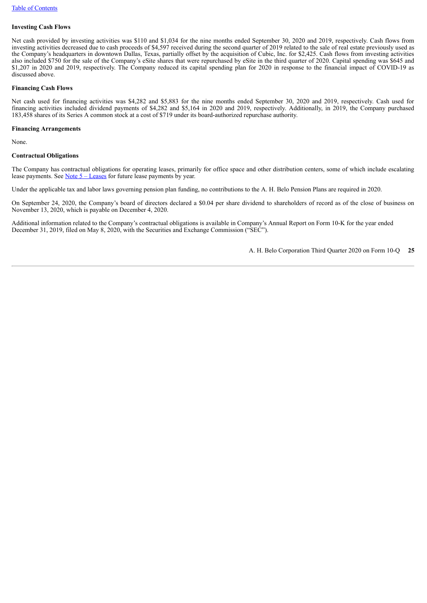# **Investing Cash Flows**

Net cash provided by investing activities was \$110 and \$1,034 for the nine months ended September 30, 2020 and 2019, respectively. Cash flows from investing activities decreased due to cash proceeds of \$4,597 received during the second quarter of 2019 related to the sale of real estate previously used as the Company's headquarters in downtown Dallas, Texas, partially offset by the acquisition of Cubic, Inc. for \$2,425. Cash flows from investing activities also included \$750 for the sale of the Company's eSite shares that were repurchased by eSite in the third quarter of 2020. Capital spending was \$645 and \$1,207 in 2020 and 2019, respectively. The Company reduced its capital spending plan for 2020 in response to the financial impact of COVID-19 as discussed above.

#### **Financing Cash Flows**

Net cash used for financing activities was \$4,282 and \$5,883 for the nine months ended September 30, 2020 and 2019, respectively. Cash used for financing activities included dividend payments of \$4,282 and \$5,164 in 2020 and 2019, respectively. Additionally, in 2019, the Company purchased 183,458 shares of its Series A common stock at a cost of \$719 under its board-authorized repurchase authority.

#### **Financing Arrangements**

None.

#### **Contractual Obligations**

The Company has contractual obligations for operating leases, primarily for office space and other distribution centers, some of which include escalating lease payments. See Note 5 – [Leases](#page-11-0) for future lease payments by year.

Under the applicable tax and labor laws governing pension plan funding, no contributions to the A. H. Belo Pension Plans are required in 2020.

On September 24, 2020, the Company's board of directors declared a \$0.04 per share dividend to shareholders of record as of the close of business on November 13, 2020, which is payable on December 4, 2020.

Additional information related to the Company's contractual obligations is available in Company's Annual Report on Form 10-K for the year ended December 31, 2019, filed on May 8, 2020, with the Securities and Exchange Commission ("SEC").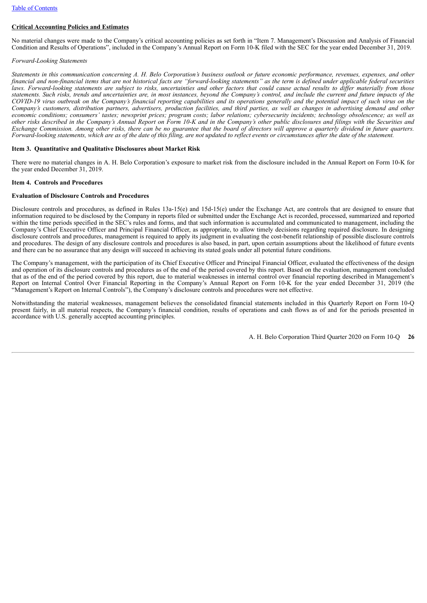# **Critical Accounting Policies and Estimates**

No material changes were made to the Company's critical accounting policies as set forth in "Item 7. Management's Discussion and Analysis of Financial Condition and Results of Operations", included in the Company's Annual Report on Form 10-K filed with the SEC for the year ended December 31, 2019.

#### <span id="page-25-2"></span>*Forward-Looking Statements*

Statements in this communication concerning A. H. Belo Corporation's business outlook or future economic performance, revenues, expenses, and other financial and non-financial items that are not historical facts are "forward-looking statements" as the term is defined under applicable federal securities laws. Forward-looking statements are subject to risks, uncertainties and other factors that could cause actual results to differ materially from those statements. Such risks, trends and uncertainties are, in most instances, bevond the Company's control, and include the current and future impacts of the COVID-19 virus outbreak on the Company's financial reporting capabilities and its operations generally and the potential impact of such virus on the Company's customers, distribution partners, advertisers, production facilities, and third parties, as well as changes in advertising demand and other economic conditions; consumers' tastes; newsprint prices; program costs; labor relations; cybersecurity incidents; technology obsolescence; as well as other risks described in the Company's Annual Report on Form 10-K and in the Company's other public disclosures and filings with the Securities and Exchange Commission. Among other risks, there can be no guarantee that the board of directors will approve a quarterly dividend in future quarters. Forward-looking statements, which are as of the date of this filing, are not updated to reflect events or circumstances after the date of the statement.

#### <span id="page-25-0"></span>**Item 3. Quantitative and Qualitative Disclosures about Market Risk**

There were no material changes in A. H. Belo Corporation's exposure to market risk from the disclosure included in the Annual Report on Form 10-K for the year ended December 31, 2019.

#### <span id="page-25-1"></span>**Item 4. Controls and Procedures**

#### **Evaluation of Disclosure Controls and Procedures**

Disclosure controls and procedures, as defined in Rules 13a-15(e) and 15d-15(e) under the Exchange Act, are controls that are designed to ensure that information required to be disclosed by the Company in reports filed or submitted under the Exchange Act is recorded, processed, summarized and reported within the time periods specified in the SEC's rules and forms, and that such information is accumulated and communicated to management, including the Company's Chief Executive Officer and Principal Financial Officer, as appropriate, to allow timely decisions regarding required disclosure. In designing disclosure controls and procedures, management is required to apply its judgment in evaluating the cost-benefit relationship of possible disclosure controls and procedures. The design of any disclosure controls and procedures is also based, in part, upon certain assumptions about the likelihood of future events and there can be no assurance that any design will succeed in achieving its stated goals under all potential future conditions.

The Company's management, with the participation of its Chief Executive Officer and Principal Financial Officer, evaluated the effectiveness of the design and operation of its disclosure controls and procedures as of the end of the period covered by this report. Based on the evaluation, management concluded that as of the end of the period covered by this report, due to material weaknesses in internal control over financial reporting described in Management's Report on Internal Control Over Financial Reporting in the Company's Annual Report on Form 10-K for the year ended December 31, 2019 (the "Management's Report on Internal Controls"), the Company's disclosure controls and procedures were not effective.

Notwithstanding the material weaknesses, management believes the consolidated financial statements included in this Quarterly Report on Form 10-Q present fairly, in all material respects, the Company's financial condition, results of operations and cash flows as of and for the periods presented in accordance with U.S. generally accepted accounting principles.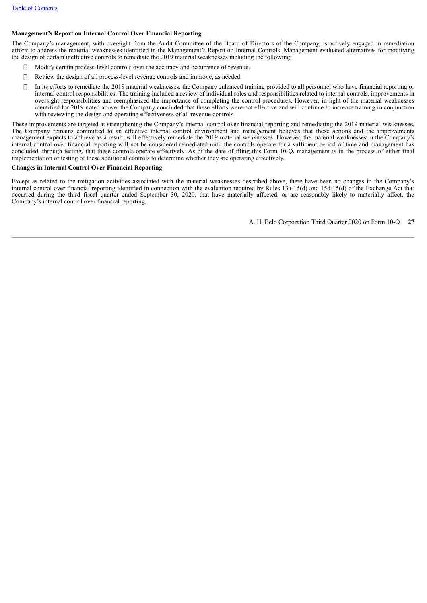# **Management's Report on Internal Control Over Financial Reporting**

The Company's management, with oversight from the Audit Committee of the Board of Directors of the Company, is actively engaged in remediation efforts to address the material weaknesses identified in the Management's Report on Internal Controls. Management evaluated alternatives for modifying the design of certain ineffective controls to remediate the 2019 material weaknesses including the following:

- Modify certain process-level controls over the accuracy and occurrence of revenue.
- $\Box$  Review the design of all process-level revenue controls and improve, as needed.
- In its efforts to remediate the 2018 material weaknesses, the Company enhanced training provided to all personnel who have financial reporting or internal control responsibilities. The training included a review of individual roles and responsibilities related to internal controls, improvements in oversight responsibilities and reemphasized the importance of completing the control procedures. However, in light of the material weaknesses identified for 2019 noted above, the Company concluded that these efforts were not effective and will continue to increase training in conjunction with reviewing the design and operating effectiveness of all revenue controls.

These improvements are targeted at strengthening the Company's internal control over financial reporting and remediating the 2019 material weaknesses. The Company remains committed to an effective internal control environment and management believes that these actions and the improvements management expects to achieve as a result, will effectively remediate the 2019 material weaknesses. However, the material weaknesses in the Company's internal control over financial reporting will not be considered remediated until the controls operate for a sufficient period of time and management has concluded, through testing, that these controls operate effectively. As of the date of filing this Form 10-Q, management is in the process of either final implementation or testing of these additional controls to determine whether they are operating effectively.

# **Changes in Internal Control Over Financial Reporting**

Except as related to the mitigation activities associated with the material weaknesses described above, there have been no changes in the Company's internal control over financial reporting identified in connection with the evaluation required by Rules 13a-15(d) and 15d-15(d) of the Exchange Act that occurred during the third fiscal quarter ended September 30, 2020, that have materially affected, or are reasonably likely to materially affect, the Company's internal control over financial reporting.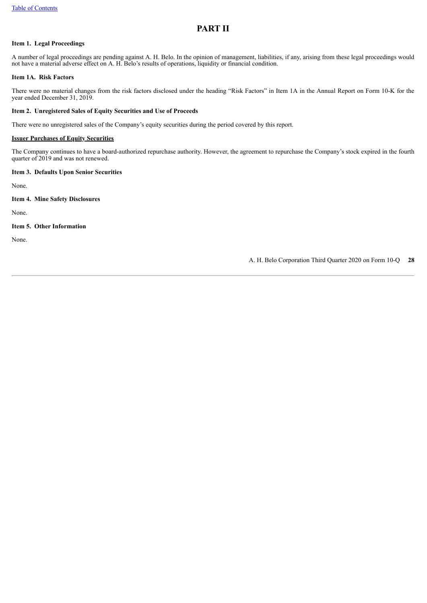# <span id="page-27-0"></span>**PART II**

#### <span id="page-27-1"></span>**Item 1. Legal Proceedings**

A number of legal proceedings are pending against A. H. Belo. In the opinion of management, liabilities, if any, arising from these legal proceedings would not have a material adverse effect on A. H. Belo's results of operations, liquidity or financial condition.

#### <span id="page-27-2"></span>**Item 1A. Risk Factors**

There were no material changes from the risk factors disclosed under the heading "Risk Factors" in Item 1A in the Annual Report on Form 10-K for the year ended December 31, 2019.

#### <span id="page-27-3"></span>**Item 2. Unregistered Sales of Equity Securities and Use of Proceeds**

There were no unregistered sales of the Company's equity securities during the period covered by this report.

#### **Issuer Purchases of Equity Securities**

The Company continues to have a board-authorized repurchase authority. However, the agreement to repurchase the Company's stock expired in the fourth quarter of 2019 and was not renewed.

#### <span id="page-27-4"></span>**Item 3. Defaults Upon Senior Securities**

None.

# <span id="page-27-5"></span>**Item 4. Mine Safety Disclosures**

None.

#### <span id="page-27-6"></span>**Item 5. Other Information**

None.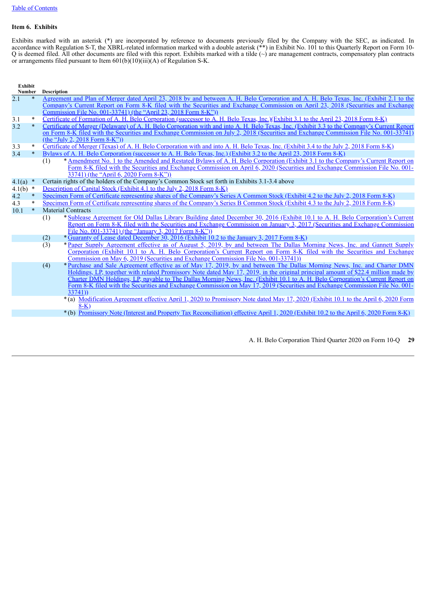# <span id="page-28-0"></span>**Item 6. Exhibits**

Exhibits marked with an asterisk (\*) are incorporated by reference to documents previously filed by the Company with the SEC, as indicated. In accordance with Regulation S-T, the XBRL-related information marked with a double asterisk (\*\*) in Exhibit No. 101 to this Quarterly Report on Form 10- Q is deemed filed. All other documents are filed with this report. Exhibits marked with a tilde  $(\sim)$  are management contracts, compensatory plan contracts or arrangements filed pursuant to Item 601(b)(10)(iii)(A) of Regulation S-K.

**Exhibit Negariation** 

| Agreement and Plan of Merger dated April 23, 2018 by and between A. H. Belo Corporation and A. H. Belo Texas, Inc. (Exhibit 2.1 to the<br>$\ast$<br>2.1<br>Company's Current Report on Form 8-K filed with the Securities and Exchange Commission on April 23, 2018 (Securities and Exchange<br>Commission File No. 001-33741) (the "April 23, 2018 Form 8-K"))<br>Certificate of Formation of A. H. Belo Corporation (successor to A. H. Belo Texas, Inc.)(Exhibit 3.1 to the April 23, 2018 Form 8-K)<br>$\ast$<br>3.1<br>Certificate of Merger (Delaware) of A. H. Belo Corporation with and into A. H. Belo Texas. Inc. (Exhibit 3.3 to the Company's Current Report<br>3.2<br>$\ast$<br>on Form 8-K filed with the Securities and Exchange Commission on July 2, 2018 (Securities and Exchange Commission File No. 001-33741)<br>(the "July 2, 2018 Form $8-K$ "))<br>Certificate of Merger (Texas) of A. H. Belo Corporation with and into A. H. Belo Texas, Inc. (Exhibit 3.4 to the July 2, 2018 Form 8-K)<br>3.3<br>$\ast$<br>Bylaws of A. H. Belo Corporation (successor to A. H. Belo Texas, Inc.) (Exhibit 3.2 to the April 23, 2018 Form 8-K)<br>$\ast$<br>3.4<br>* Amendment No. 1 to the Amended and Restated Bylaws of A. H. Belo Corporation (Exhibit 3.1 to the Company's Current Report on<br>(1)<br>Form 8-K filed with the Securities and Exchange Commission on April 6, 2020 (Securities and Exchange Commission File No. 001-<br>33741) (the "April 6, 2020 Form 8-K"))<br>Certain rights of the holders of the Company's Common Stock set forth in Exhibits 3.1-3.4 above<br>4.1(a)<br>$\ast$<br>Description of Capital Stock (Exhibit 4.1 to the July 2, 2018 Form 8-K)<br>4.1(b) $*$<br>Specimen Form of Certificate representing shares of the Company's Series A Common Stock (Exhibit 4.2 to the July 2, 2018 Form 8-K)<br>$\ast$<br>4.2<br>Specimen Form of Certificate representing shares of the Company's Series B Common Stock (Exhibit 4.3 to the July 2, 2018 Form 8-K)<br>4.3<br>$\ast$<br><b>Material Contracts</b><br>10.1<br>$\ast$<br>*Sublease Agreement for Old Dallas Library Building dated December 30, 2016 (Exhibit 10.1 to A. H. Belo Corporation's Current<br>(1)<br>Report on Form 8-K filed with the Securities and Exchange Commission on January 3, 2017 (Securities and Exchange Commission<br>File No. 001-33741) (the "January 3, 2017 Form 8-K"))<br>* Guaranty of Lease dated December 30, 2016 (Exhibit 10.2 to the January 3, 2017 Form 8-K)<br>(2)<br>*Paper Supply Agreement effective as of August 5, 2019, by and between The Dallas Morning News, Inc. and Gannett Supply<br>(3)<br>Corporation (Exhibit 10.1 to A. H. Belo Corporation's Current Report on Form 8-K filed with the Securities and Exchange<br>Commission on May 6, 2019 (Securities and Exchange Commission File No. 001-33741))<br>*Purchase and Sale Agreement effective as of May 17, 2019, by and between The Dallas Morning News, Inc. and Charter DMN<br>(4)<br>Holdings, LP, together with related Promissory Note dated May 17, 2019, in the original principal amount of \$22.4 million made by<br>Charter DMN Holdings, LP, payable to The Dallas Morning News, Inc. (Exhibit 10.1 to A. H. Belo Corporation's Current Report on<br>Form 8-K filed with the Securities and Exchange Commission on May 17, 2019 (Securities and Exchange Commission File No. 001-<br>33741)<br>*(a) Modification Agreement effective April 1, 2020 to Promissory Note dated May 17, 2020 (Exhibit 10.1 to the April 6, 2020 Form<br>$8-K$ ).<br>*(b) Promissory Note (Interest and Property Tax Reconciliation) effective April 1, 2020 (Exhibit 10.2 to the April 6, 2020 Form 8-K) | Number | Description                                               |  |  |  |  |  |  |
|-------------------------------------------------------------------------------------------------------------------------------------------------------------------------------------------------------------------------------------------------------------------------------------------------------------------------------------------------------------------------------------------------------------------------------------------------------------------------------------------------------------------------------------------------------------------------------------------------------------------------------------------------------------------------------------------------------------------------------------------------------------------------------------------------------------------------------------------------------------------------------------------------------------------------------------------------------------------------------------------------------------------------------------------------------------------------------------------------------------------------------------------------------------------------------------------------------------------------------------------------------------------------------------------------------------------------------------------------------------------------------------------------------------------------------------------------------------------------------------------------------------------------------------------------------------------------------------------------------------------------------------------------------------------------------------------------------------------------------------------------------------------------------------------------------------------------------------------------------------------------------------------------------------------------------------------------------------------------------------------------------------------------------------------------------------------------------------------------------------------------------------------------------------------------------------------------------------------------------------------------------------------------------------------------------------------------------------------------------------------------------------------------------------------------------------------------------------------------------------------------------------------------------------------------------------------------------------------------------------------------------------------------------------------------------------------------------------------------------------------------------------------------------------------------------------------------------------------------------------------------------------------------------------------------------------------------------------------------------------------------------------------------------------------------------------------------------------------------------------------------------------------------------------------------------------------------------------------------------------------------------------------------------------------------------------------------------------------------------------------------------------------------------------------------------------------------------------------------------------------------------------------------------------------------------------------------------------------------------------------------------------------------------------------------------------------------------------------|--------|-----------------------------------------------------------|--|--|--|--|--|--|
|                                                                                                                                                                                                                                                                                                                                                                                                                                                                                                                                                                                                                                                                                                                                                                                                                                                                                                                                                                                                                                                                                                                                                                                                                                                                                                                                                                                                                                                                                                                                                                                                                                                                                                                                                                                                                                                                                                                                                                                                                                                                                                                                                                                                                                                                                                                                                                                                                                                                                                                                                                                                                                                                                                                                                                                                                                                                                                                                                                                                                                                                                                                                                                                                                                                                                                                                                                                                                                                                                                                                                                                                                                                                                                                   |        |                                                           |  |  |  |  |  |  |
|                                                                                                                                                                                                                                                                                                                                                                                                                                                                                                                                                                                                                                                                                                                                                                                                                                                                                                                                                                                                                                                                                                                                                                                                                                                                                                                                                                                                                                                                                                                                                                                                                                                                                                                                                                                                                                                                                                                                                                                                                                                                                                                                                                                                                                                                                                                                                                                                                                                                                                                                                                                                                                                                                                                                                                                                                                                                                                                                                                                                                                                                                                                                                                                                                                                                                                                                                                                                                                                                                                                                                                                                                                                                                                                   |        |                                                           |  |  |  |  |  |  |
|                                                                                                                                                                                                                                                                                                                                                                                                                                                                                                                                                                                                                                                                                                                                                                                                                                                                                                                                                                                                                                                                                                                                                                                                                                                                                                                                                                                                                                                                                                                                                                                                                                                                                                                                                                                                                                                                                                                                                                                                                                                                                                                                                                                                                                                                                                                                                                                                                                                                                                                                                                                                                                                                                                                                                                                                                                                                                                                                                                                                                                                                                                                                                                                                                                                                                                                                                                                                                                                                                                                                                                                                                                                                                                                   |        |                                                           |  |  |  |  |  |  |
|                                                                                                                                                                                                                                                                                                                                                                                                                                                                                                                                                                                                                                                                                                                                                                                                                                                                                                                                                                                                                                                                                                                                                                                                                                                                                                                                                                                                                                                                                                                                                                                                                                                                                                                                                                                                                                                                                                                                                                                                                                                                                                                                                                                                                                                                                                                                                                                                                                                                                                                                                                                                                                                                                                                                                                                                                                                                                                                                                                                                                                                                                                                                                                                                                                                                                                                                                                                                                                                                                                                                                                                                                                                                                                                   |        |                                                           |  |  |  |  |  |  |
|                                                                                                                                                                                                                                                                                                                                                                                                                                                                                                                                                                                                                                                                                                                                                                                                                                                                                                                                                                                                                                                                                                                                                                                                                                                                                                                                                                                                                                                                                                                                                                                                                                                                                                                                                                                                                                                                                                                                                                                                                                                                                                                                                                                                                                                                                                                                                                                                                                                                                                                                                                                                                                                                                                                                                                                                                                                                                                                                                                                                                                                                                                                                                                                                                                                                                                                                                                                                                                                                                                                                                                                                                                                                                                                   |        |                                                           |  |  |  |  |  |  |
|                                                                                                                                                                                                                                                                                                                                                                                                                                                                                                                                                                                                                                                                                                                                                                                                                                                                                                                                                                                                                                                                                                                                                                                                                                                                                                                                                                                                                                                                                                                                                                                                                                                                                                                                                                                                                                                                                                                                                                                                                                                                                                                                                                                                                                                                                                                                                                                                                                                                                                                                                                                                                                                                                                                                                                                                                                                                                                                                                                                                                                                                                                                                                                                                                                                                                                                                                                                                                                                                                                                                                                                                                                                                                                                   |        |                                                           |  |  |  |  |  |  |
|                                                                                                                                                                                                                                                                                                                                                                                                                                                                                                                                                                                                                                                                                                                                                                                                                                                                                                                                                                                                                                                                                                                                                                                                                                                                                                                                                                                                                                                                                                                                                                                                                                                                                                                                                                                                                                                                                                                                                                                                                                                                                                                                                                                                                                                                                                                                                                                                                                                                                                                                                                                                                                                                                                                                                                                                                                                                                                                                                                                                                                                                                                                                                                                                                                                                                                                                                                                                                                                                                                                                                                                                                                                                                                                   |        |                                                           |  |  |  |  |  |  |
|                                                                                                                                                                                                                                                                                                                                                                                                                                                                                                                                                                                                                                                                                                                                                                                                                                                                                                                                                                                                                                                                                                                                                                                                                                                                                                                                                                                                                                                                                                                                                                                                                                                                                                                                                                                                                                                                                                                                                                                                                                                                                                                                                                                                                                                                                                                                                                                                                                                                                                                                                                                                                                                                                                                                                                                                                                                                                                                                                                                                                                                                                                                                                                                                                                                                                                                                                                                                                                                                                                                                                                                                                                                                                                                   |        |                                                           |  |  |  |  |  |  |
|                                                                                                                                                                                                                                                                                                                                                                                                                                                                                                                                                                                                                                                                                                                                                                                                                                                                                                                                                                                                                                                                                                                                                                                                                                                                                                                                                                                                                                                                                                                                                                                                                                                                                                                                                                                                                                                                                                                                                                                                                                                                                                                                                                                                                                                                                                                                                                                                                                                                                                                                                                                                                                                                                                                                                                                                                                                                                                                                                                                                                                                                                                                                                                                                                                                                                                                                                                                                                                                                                                                                                                                                                                                                                                                   |        |                                                           |  |  |  |  |  |  |
|                                                                                                                                                                                                                                                                                                                                                                                                                                                                                                                                                                                                                                                                                                                                                                                                                                                                                                                                                                                                                                                                                                                                                                                                                                                                                                                                                                                                                                                                                                                                                                                                                                                                                                                                                                                                                                                                                                                                                                                                                                                                                                                                                                                                                                                                                                                                                                                                                                                                                                                                                                                                                                                                                                                                                                                                                                                                                                                                                                                                                                                                                                                                                                                                                                                                                                                                                                                                                                                                                                                                                                                                                                                                                                                   |        |                                                           |  |  |  |  |  |  |
|                                                                                                                                                                                                                                                                                                                                                                                                                                                                                                                                                                                                                                                                                                                                                                                                                                                                                                                                                                                                                                                                                                                                                                                                                                                                                                                                                                                                                                                                                                                                                                                                                                                                                                                                                                                                                                                                                                                                                                                                                                                                                                                                                                                                                                                                                                                                                                                                                                                                                                                                                                                                                                                                                                                                                                                                                                                                                                                                                                                                                                                                                                                                                                                                                                                                                                                                                                                                                                                                                                                                                                                                                                                                                                                   |        |                                                           |  |  |  |  |  |  |
|                                                                                                                                                                                                                                                                                                                                                                                                                                                                                                                                                                                                                                                                                                                                                                                                                                                                                                                                                                                                                                                                                                                                                                                                                                                                                                                                                                                                                                                                                                                                                                                                                                                                                                                                                                                                                                                                                                                                                                                                                                                                                                                                                                                                                                                                                                                                                                                                                                                                                                                                                                                                                                                                                                                                                                                                                                                                                                                                                                                                                                                                                                                                                                                                                                                                                                                                                                                                                                                                                                                                                                                                                                                                                                                   |        |                                                           |  |  |  |  |  |  |
|                                                                                                                                                                                                                                                                                                                                                                                                                                                                                                                                                                                                                                                                                                                                                                                                                                                                                                                                                                                                                                                                                                                                                                                                                                                                                                                                                                                                                                                                                                                                                                                                                                                                                                                                                                                                                                                                                                                                                                                                                                                                                                                                                                                                                                                                                                                                                                                                                                                                                                                                                                                                                                                                                                                                                                                                                                                                                                                                                                                                                                                                                                                                                                                                                                                                                                                                                                                                                                                                                                                                                                                                                                                                                                                   |        |                                                           |  |  |  |  |  |  |
|                                                                                                                                                                                                                                                                                                                                                                                                                                                                                                                                                                                                                                                                                                                                                                                                                                                                                                                                                                                                                                                                                                                                                                                                                                                                                                                                                                                                                                                                                                                                                                                                                                                                                                                                                                                                                                                                                                                                                                                                                                                                                                                                                                                                                                                                                                                                                                                                                                                                                                                                                                                                                                                                                                                                                                                                                                                                                                                                                                                                                                                                                                                                                                                                                                                                                                                                                                                                                                                                                                                                                                                                                                                                                                                   |        |                                                           |  |  |  |  |  |  |
|                                                                                                                                                                                                                                                                                                                                                                                                                                                                                                                                                                                                                                                                                                                                                                                                                                                                                                                                                                                                                                                                                                                                                                                                                                                                                                                                                                                                                                                                                                                                                                                                                                                                                                                                                                                                                                                                                                                                                                                                                                                                                                                                                                                                                                                                                                                                                                                                                                                                                                                                                                                                                                                                                                                                                                                                                                                                                                                                                                                                                                                                                                                                                                                                                                                                                                                                                                                                                                                                                                                                                                                                                                                                                                                   |        |                                                           |  |  |  |  |  |  |
|                                                                                                                                                                                                                                                                                                                                                                                                                                                                                                                                                                                                                                                                                                                                                                                                                                                                                                                                                                                                                                                                                                                                                                                                                                                                                                                                                                                                                                                                                                                                                                                                                                                                                                                                                                                                                                                                                                                                                                                                                                                                                                                                                                                                                                                                                                                                                                                                                                                                                                                                                                                                                                                                                                                                                                                                                                                                                                                                                                                                                                                                                                                                                                                                                                                                                                                                                                                                                                                                                                                                                                                                                                                                                                                   |        |                                                           |  |  |  |  |  |  |
|                                                                                                                                                                                                                                                                                                                                                                                                                                                                                                                                                                                                                                                                                                                                                                                                                                                                                                                                                                                                                                                                                                                                                                                                                                                                                                                                                                                                                                                                                                                                                                                                                                                                                                                                                                                                                                                                                                                                                                                                                                                                                                                                                                                                                                                                                                                                                                                                                                                                                                                                                                                                                                                                                                                                                                                                                                                                                                                                                                                                                                                                                                                                                                                                                                                                                                                                                                                                                                                                                                                                                                                                                                                                                                                   |        |                                                           |  |  |  |  |  |  |
|                                                                                                                                                                                                                                                                                                                                                                                                                                                                                                                                                                                                                                                                                                                                                                                                                                                                                                                                                                                                                                                                                                                                                                                                                                                                                                                                                                                                                                                                                                                                                                                                                                                                                                                                                                                                                                                                                                                                                                                                                                                                                                                                                                                                                                                                                                                                                                                                                                                                                                                                                                                                                                                                                                                                                                                                                                                                                                                                                                                                                                                                                                                                                                                                                                                                                                                                                                                                                                                                                                                                                                                                                                                                                                                   |        |                                                           |  |  |  |  |  |  |
|                                                                                                                                                                                                                                                                                                                                                                                                                                                                                                                                                                                                                                                                                                                                                                                                                                                                                                                                                                                                                                                                                                                                                                                                                                                                                                                                                                                                                                                                                                                                                                                                                                                                                                                                                                                                                                                                                                                                                                                                                                                                                                                                                                                                                                                                                                                                                                                                                                                                                                                                                                                                                                                                                                                                                                                                                                                                                                                                                                                                                                                                                                                                                                                                                                                                                                                                                                                                                                                                                                                                                                                                                                                                                                                   |        |                                                           |  |  |  |  |  |  |
|                                                                                                                                                                                                                                                                                                                                                                                                                                                                                                                                                                                                                                                                                                                                                                                                                                                                                                                                                                                                                                                                                                                                                                                                                                                                                                                                                                                                                                                                                                                                                                                                                                                                                                                                                                                                                                                                                                                                                                                                                                                                                                                                                                                                                                                                                                                                                                                                                                                                                                                                                                                                                                                                                                                                                                                                                                                                                                                                                                                                                                                                                                                                                                                                                                                                                                                                                                                                                                                                                                                                                                                                                                                                                                                   |        |                                                           |  |  |  |  |  |  |
|                                                                                                                                                                                                                                                                                                                                                                                                                                                                                                                                                                                                                                                                                                                                                                                                                                                                                                                                                                                                                                                                                                                                                                                                                                                                                                                                                                                                                                                                                                                                                                                                                                                                                                                                                                                                                                                                                                                                                                                                                                                                                                                                                                                                                                                                                                                                                                                                                                                                                                                                                                                                                                                                                                                                                                                                                                                                                                                                                                                                                                                                                                                                                                                                                                                                                                                                                                                                                                                                                                                                                                                                                                                                                                                   |        |                                                           |  |  |  |  |  |  |
|                                                                                                                                                                                                                                                                                                                                                                                                                                                                                                                                                                                                                                                                                                                                                                                                                                                                                                                                                                                                                                                                                                                                                                                                                                                                                                                                                                                                                                                                                                                                                                                                                                                                                                                                                                                                                                                                                                                                                                                                                                                                                                                                                                                                                                                                                                                                                                                                                                                                                                                                                                                                                                                                                                                                                                                                                                                                                                                                                                                                                                                                                                                                                                                                                                                                                                                                                                                                                                                                                                                                                                                                                                                                                                                   |        |                                                           |  |  |  |  |  |  |
|                                                                                                                                                                                                                                                                                                                                                                                                                                                                                                                                                                                                                                                                                                                                                                                                                                                                                                                                                                                                                                                                                                                                                                                                                                                                                                                                                                                                                                                                                                                                                                                                                                                                                                                                                                                                                                                                                                                                                                                                                                                                                                                                                                                                                                                                                                                                                                                                                                                                                                                                                                                                                                                                                                                                                                                                                                                                                                                                                                                                                                                                                                                                                                                                                                                                                                                                                                                                                                                                                                                                                                                                                                                                                                                   |        |                                                           |  |  |  |  |  |  |
|                                                                                                                                                                                                                                                                                                                                                                                                                                                                                                                                                                                                                                                                                                                                                                                                                                                                                                                                                                                                                                                                                                                                                                                                                                                                                                                                                                                                                                                                                                                                                                                                                                                                                                                                                                                                                                                                                                                                                                                                                                                                                                                                                                                                                                                                                                                                                                                                                                                                                                                                                                                                                                                                                                                                                                                                                                                                                                                                                                                                                                                                                                                                                                                                                                                                                                                                                                                                                                                                                                                                                                                                                                                                                                                   |        |                                                           |  |  |  |  |  |  |
|                                                                                                                                                                                                                                                                                                                                                                                                                                                                                                                                                                                                                                                                                                                                                                                                                                                                                                                                                                                                                                                                                                                                                                                                                                                                                                                                                                                                                                                                                                                                                                                                                                                                                                                                                                                                                                                                                                                                                                                                                                                                                                                                                                                                                                                                                                                                                                                                                                                                                                                                                                                                                                                                                                                                                                                                                                                                                                                                                                                                                                                                                                                                                                                                                                                                                                                                                                                                                                                                                                                                                                                                                                                                                                                   |        |                                                           |  |  |  |  |  |  |
|                                                                                                                                                                                                                                                                                                                                                                                                                                                                                                                                                                                                                                                                                                                                                                                                                                                                                                                                                                                                                                                                                                                                                                                                                                                                                                                                                                                                                                                                                                                                                                                                                                                                                                                                                                                                                                                                                                                                                                                                                                                                                                                                                                                                                                                                                                                                                                                                                                                                                                                                                                                                                                                                                                                                                                                                                                                                                                                                                                                                                                                                                                                                                                                                                                                                                                                                                                                                                                                                                                                                                                                                                                                                                                                   |        |                                                           |  |  |  |  |  |  |
|                                                                                                                                                                                                                                                                                                                                                                                                                                                                                                                                                                                                                                                                                                                                                                                                                                                                                                                                                                                                                                                                                                                                                                                                                                                                                                                                                                                                                                                                                                                                                                                                                                                                                                                                                                                                                                                                                                                                                                                                                                                                                                                                                                                                                                                                                                                                                                                                                                                                                                                                                                                                                                                                                                                                                                                                                                                                                                                                                                                                                                                                                                                                                                                                                                                                                                                                                                                                                                                                                                                                                                                                                                                                                                                   |        |                                                           |  |  |  |  |  |  |
|                                                                                                                                                                                                                                                                                                                                                                                                                                                                                                                                                                                                                                                                                                                                                                                                                                                                                                                                                                                                                                                                                                                                                                                                                                                                                                                                                                                                                                                                                                                                                                                                                                                                                                                                                                                                                                                                                                                                                                                                                                                                                                                                                                                                                                                                                                                                                                                                                                                                                                                                                                                                                                                                                                                                                                                                                                                                                                                                                                                                                                                                                                                                                                                                                                                                                                                                                                                                                                                                                                                                                                                                                                                                                                                   |        |                                                           |  |  |  |  |  |  |
|                                                                                                                                                                                                                                                                                                                                                                                                                                                                                                                                                                                                                                                                                                                                                                                                                                                                                                                                                                                                                                                                                                                                                                                                                                                                                                                                                                                                                                                                                                                                                                                                                                                                                                                                                                                                                                                                                                                                                                                                                                                                                                                                                                                                                                                                                                                                                                                                                                                                                                                                                                                                                                                                                                                                                                                                                                                                                                                                                                                                                                                                                                                                                                                                                                                                                                                                                                                                                                                                                                                                                                                                                                                                                                                   |        |                                                           |  |  |  |  |  |  |
|                                                                                                                                                                                                                                                                                                                                                                                                                                                                                                                                                                                                                                                                                                                                                                                                                                                                                                                                                                                                                                                                                                                                                                                                                                                                                                                                                                                                                                                                                                                                                                                                                                                                                                                                                                                                                                                                                                                                                                                                                                                                                                                                                                                                                                                                                                                                                                                                                                                                                                                                                                                                                                                                                                                                                                                                                                                                                                                                                                                                                                                                                                                                                                                                                                                                                                                                                                                                                                                                                                                                                                                                                                                                                                                   |        |                                                           |  |  |  |  |  |  |
|                                                                                                                                                                                                                                                                                                                                                                                                                                                                                                                                                                                                                                                                                                                                                                                                                                                                                                                                                                                                                                                                                                                                                                                                                                                                                                                                                                                                                                                                                                                                                                                                                                                                                                                                                                                                                                                                                                                                                                                                                                                                                                                                                                                                                                                                                                                                                                                                                                                                                                                                                                                                                                                                                                                                                                                                                                                                                                                                                                                                                                                                                                                                                                                                                                                                                                                                                                                                                                                                                                                                                                                                                                                                                                                   |        |                                                           |  |  |  |  |  |  |
|                                                                                                                                                                                                                                                                                                                                                                                                                                                                                                                                                                                                                                                                                                                                                                                                                                                                                                                                                                                                                                                                                                                                                                                                                                                                                                                                                                                                                                                                                                                                                                                                                                                                                                                                                                                                                                                                                                                                                                                                                                                                                                                                                                                                                                                                                                                                                                                                                                                                                                                                                                                                                                                                                                                                                                                                                                                                                                                                                                                                                                                                                                                                                                                                                                                                                                                                                                                                                                                                                                                                                                                                                                                                                                                   |        |                                                           |  |  |  |  |  |  |
|                                                                                                                                                                                                                                                                                                                                                                                                                                                                                                                                                                                                                                                                                                                                                                                                                                                                                                                                                                                                                                                                                                                                                                                                                                                                                                                                                                                                                                                                                                                                                                                                                                                                                                                                                                                                                                                                                                                                                                                                                                                                                                                                                                                                                                                                                                                                                                                                                                                                                                                                                                                                                                                                                                                                                                                                                                                                                                                                                                                                                                                                                                                                                                                                                                                                                                                                                                                                                                                                                                                                                                                                                                                                                                                   |        |                                                           |  |  |  |  |  |  |
|                                                                                                                                                                                                                                                                                                                                                                                                                                                                                                                                                                                                                                                                                                                                                                                                                                                                                                                                                                                                                                                                                                                                                                                                                                                                                                                                                                                                                                                                                                                                                                                                                                                                                                                                                                                                                                                                                                                                                                                                                                                                                                                                                                                                                                                                                                                                                                                                                                                                                                                                                                                                                                                                                                                                                                                                                                                                                                                                                                                                                                                                                                                                                                                                                                                                                                                                                                                                                                                                                                                                                                                                                                                                                                                   |        |                                                           |  |  |  |  |  |  |
|                                                                                                                                                                                                                                                                                                                                                                                                                                                                                                                                                                                                                                                                                                                                                                                                                                                                                                                                                                                                                                                                                                                                                                                                                                                                                                                                                                                                                                                                                                                                                                                                                                                                                                                                                                                                                                                                                                                                                                                                                                                                                                                                                                                                                                                                                                                                                                                                                                                                                                                                                                                                                                                                                                                                                                                                                                                                                                                                                                                                                                                                                                                                                                                                                                                                                                                                                                                                                                                                                                                                                                                                                                                                                                                   |        |                                                           |  |  |  |  |  |  |
|                                                                                                                                                                                                                                                                                                                                                                                                                                                                                                                                                                                                                                                                                                                                                                                                                                                                                                                                                                                                                                                                                                                                                                                                                                                                                                                                                                                                                                                                                                                                                                                                                                                                                                                                                                                                                                                                                                                                                                                                                                                                                                                                                                                                                                                                                                                                                                                                                                                                                                                                                                                                                                                                                                                                                                                                                                                                                                                                                                                                                                                                                                                                                                                                                                                                                                                                                                                                                                                                                                                                                                                                                                                                                                                   |        | A. H. Belo Corporation Third Quarter 2020 on Form 10-Q 29 |  |  |  |  |  |  |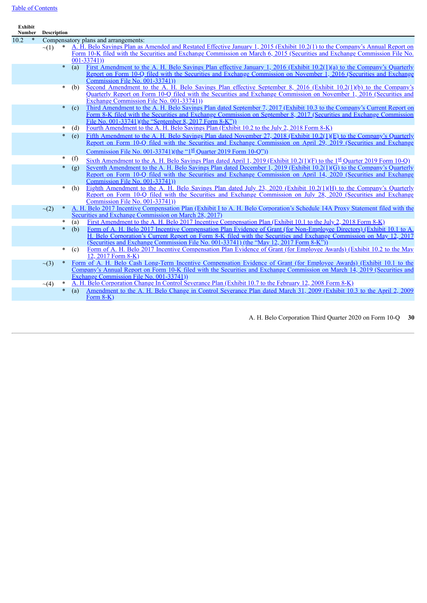# Table of [Contents](#page-1-0)

| Exhibit |        |                    |        |     |                                                                                                                                             |
|---------|--------|--------------------|--------|-----|---------------------------------------------------------------------------------------------------------------------------------------------|
| Number  |        | <b>Description</b> |        |     |                                                                                                                                             |
| 10.2    | $\ast$ |                    |        |     | Compensatory plans and arrangements:                                                                                                        |
|         |        | $\sim$ (1)         | $\ast$ |     | A. H. Belo Savings Plan as Amended and Restated Effective January 1, 2015 (Exhibit 10.2(1) to the Company's Annual Report on                |
|         |        |                    |        |     | Form 10-K filed with the Securities and Exchange Commission on March 6, 2015 (Securities and Exchange Commission File No.                   |
|         |        |                    |        |     | $001 - 33741)$                                                                                                                              |
|         |        |                    | $\ast$ | (a) | First Amendment to the A. H. Belo Savings Plan effective January 1, 2016 (Exhibit $10.2(1)(a)$ to the Company's Quarterly                   |
|         |        |                    |        |     | Report on Form 10-Q filed with the Securities and Exchange Commission on November 1, 2016 (Securities and Exchange                          |
|         |        |                    |        |     | Commission File No. $001-33741$ )                                                                                                           |
|         |        |                    | $\ast$ | (b) | Second Amendment to the A. H. Belo Savings Plan effective September 8, 2016 (Exhibit 10.2(1)(b) to the Company's                            |
|         |        |                    |        |     | Quarterly Report on Form 10-Q filed with the Securities and Exchange Commission on November 1, 2016 (Securities and                         |
|         |        |                    |        |     | Exchange Commission File No. 001-33741)                                                                                                     |
|         |        |                    | $*$    | (c) | Third Amendment to the A. H. Belo Savings Plan dated September 7, 2017 (Exhibit 10.3 to the Company's Current Report on                     |
|         |        |                    |        |     | Form 8-K filed with the Securities and Exchange Commission on September 8, 2017 (Securities and Exchange Commission                         |
|         |        |                    |        |     | File No. 001-33741)(the "September 8, 2017 Form 8-K"))                                                                                      |
|         |        |                    | $\ast$ | (d) | Fourth Amendment to the A. H. Belo Savings Plan (Exhibit 10.2 to the July 2, 2018 Form 8-K)                                                 |
|         |        |                    | $\ast$ | (e) | Fifth Amendment to the A. H. Belo Savings Plan dated November 27, 2018 (Exhibit $10.2(1)(E)$ to the Company's Quarterly                     |
|         |        |                    |        |     | Report on Form 10-Q filed with the Securities and Exchange Commission on April 29, 2019 (Securities and Exchange                            |
|         |        |                    |        |     | <u>Commission File No. 001-33741)(the "1<sup>st</sup> Quarter 2019 Form 10-Q")</u>                                                          |
|         |        |                    | $\ast$ | (f) | Sixth Amendment to the A. H. Belo Savings Plan dated April 1, 2019 (Exhibit 10.2(1)(F) to the 1st Quarter 2019 Form 10-Q)                   |
|         |        |                    | $\ast$ | (g) | Seventh Amendment to the A. H. Belo Savings Plan dated December 1, 2019 (Exhibit 10.2(1)(G) to the Company's Quarterly                      |
|         |        |                    |        |     | Report on Form 10-Q filed with the Securities and Exchange Commission on April 14, 2020 (Securities and Exchange                            |
|         |        |                    |        |     | Commission File No. $001-33741$ )                                                                                                           |
|         |        |                    | $\ast$ | (h) | Eighth Amendment to the A. H. Belo Savings Plan dated July 23, 2020 (Exhibit $10.2(1)(H)$ to the Company's Quarterly                        |
|         |        |                    |        |     | Report on Form 10-Q filed with the Securities and Exchange Commission on July 28, 2020 (Securities and Exchange                             |
|         |        |                    |        |     | Commission File No. $001-33741$ )                                                                                                           |
|         |        | $\sim$ (2)         | $\ast$ |     | A. H. Belo 2017 Incentive Compensation Plan (Exhibit I to A. H. Belo Corporation's Schedule 14A Proxy Statement filed with the              |
|         |        |                    |        |     | Securities and Exchange Commission on March 28, 2017)                                                                                       |
|         |        |                    | $\ast$ | (a) | First Amendment to the A. H. Belo 2017 Incentive Compensation Plan (Exhibit 10.1 to the July 2, 2018 Form 8-K)                              |
|         |        |                    | $\ast$ | (b) | Form of A. H. Belo 2017 Incentive Compensation Plan Evidence of Grant (for Non-Employee Directors) (Exhibit 10.1 to A.                      |
|         |        |                    |        |     | H. Belo Corporation's Current Report on Form 8-K filed with the Securities and Exchange Commission on May 12, 2017                          |
|         |        |                    |        |     | (Securities and Exchange Commission File No. 001-33741) (the "May 12, 2017 Form 8-K"))                                                      |
|         |        |                    | $*$    | (c) | Form of A. H. Belo 2017 Incentive Compensation Plan Evidence of Grant (for Employee Awards) (Exhibit 10.2 to the May                        |
|         |        |                    | $\ast$ |     | 12, 2017 Form 8-K)<br>Form of A. H. Belo Cash Long-Term Incentive Compensation Evidence of Grant (for Employee Awards) (Exhibit 10.1 to the |
|         |        | $\sim$ (3)         |        |     | Company's Annual Report on Form 10-K filed with the Securities and Exchange Commission on March 14, 2019 (Securities and                    |
|         |        |                    |        |     | Exchange Commission File No. 001-33741)                                                                                                     |
|         |        |                    | $*$    |     | A. H. Belo Corporation Change In Control Severance Plan (Exhibit 10.7 to the February 12, 2008 Form 8-K).                                   |
|         |        | $\sim$ (4)         | $\ast$ | (a) | Amendment to the A. H. Belo Change in Control Severance Plan dated March 31, 2009 (Exhibit 10.3 to the April 2, 2009)                       |
|         |        |                    |        |     | Form $8-K$ )                                                                                                                                |
|         |        |                    |        |     |                                                                                                                                             |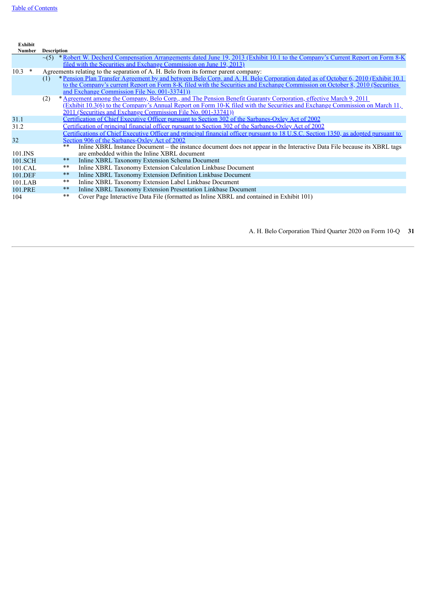| Exhibit    |                    |       |                                                                                                                                        |
|------------|--------------------|-------|----------------------------------------------------------------------------------------------------------------------------------------|
| Number     | <b>Description</b> |       |                                                                                                                                        |
|            |                    |       | $\sim$ (5) * Robert W. Decherd Compensation Arrangements dated June 19, 2013 (Exhibit 10.1 to the Company's Current Report on Form 8-K |
|            |                    |       | <u>filed with the Securities and Exchange Commission on June 19, 2013)</u>                                                             |
| $10.3$ *   |                    |       | Agreements relating to the separation of A. H. Belo from its former parent company:                                                    |
|            | (1)                |       | * Pension Plan Transfer Agreement by and between Belo Corp. and A. H. Belo Corporation dated as of October 6, 2010 (Exhibit 10.1)      |
|            |                    |       | to the Company's current Report on Form 8-K filed with the Securities and Exchange Commission on October 8, 2010 (Securities           |
|            |                    |       | and Exchange Commission File No. 001-33741))                                                                                           |
|            | (2)                |       | * Agreement among the Company, Belo Corp., and The Pension Benefit Guaranty Corporation, effective March 9, 2011                       |
|            |                    |       | (Exhibit 10.3(6) to the Company's Annual Report on Form 10-K filed with the Securities and Exchange Commission on March 11,            |
|            |                    |       | 2011 (Securities and Exchange Commission File No. 001-33741))                                                                          |
| 31.1       |                    |       | Certification of Chief Executive Officer pursuant to Section 302 of the Sarbanes-Oxley Act of 2002                                     |
| 31.2       |                    |       | Certification of principal financial officer pursuant to Section 302 of the Sarbanes-Oxley Act of 2002                                 |
|            |                    |       | Certifications of Chief Executive Officer and principal financial officer pursuant to 18 U.S.C. Section 1350, as adopted pursuant to   |
| 32         |                    |       | Section 906 of the Sarbanes-Oxley Act of 2002                                                                                          |
|            |                    | $* *$ | Inline XBRL Instance Document - the instance document does not appear in the Interactive Data File because its XBRL tags               |
| 101.INS    |                    |       | are embedded within the Inline XBRL document                                                                                           |
| 101.SCH    |                    | $***$ | Inline XBRL Taxonomy Extension Schema Document                                                                                         |
| 101.CAL    |                    | $***$ | Inline XBRL Taxonomy Extension Calculation Linkbase Document                                                                           |
| 101.DEF    |                    | $***$ | Inline XBRL Taxonomy Extension Definition Linkbase Document                                                                            |
| $101$ .LAB |                    | $* *$ | Inline XBRL Taxonomy Extension Label Linkbase Document                                                                                 |
| 101.PRE    |                    | $***$ | Inline XBRL Taxonomy Extension Presentation Linkbase Document                                                                          |
| 104        |                    | $* *$ | Cover Page Interactive Data File (formatted as Inline XBRL and contained in Exhibit 101)                                               |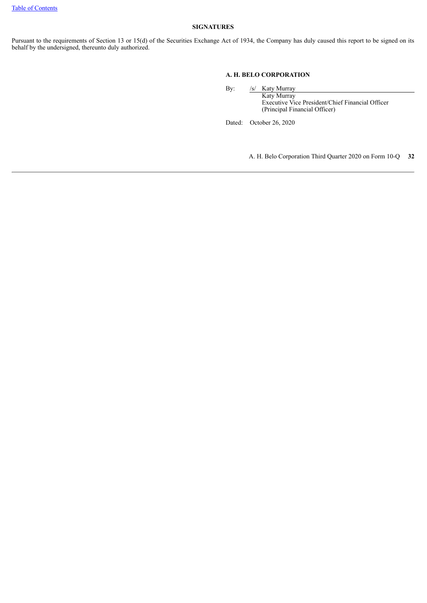#### <span id="page-31-0"></span>**SIGNATURES**

Pursuant to the requirements of Section 13 or 15(d) of the Securities Exchange Act of 1934, the Company has duly caused this report to be signed on its behalf by the undersigned, thereunto duly authorized.

# **A. H. BELO CORPORATION**

By: /s/ Katy Murray

Katy Murray Executive Vice President/Chief Financial Officer (Principal Financial Officer)

Dated: October 26, 2020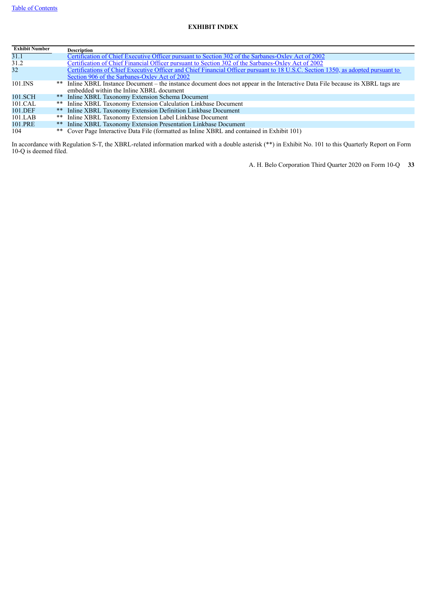# <span id="page-32-0"></span>**EXHIBIT INDEX**

| <b>Exhibit Number</b> |    | <b>Description</b>                                                                                                               |
|-----------------------|----|----------------------------------------------------------------------------------------------------------------------------------|
| 31.1                  |    | Certification of Chief Executive Officer pursuant to Section 302 of the Sarbanes-Oxley Act of 2002                               |
| 31.2                  |    | Certification of Chief Financial Officer pursuant to Section 302 of the Sarbanes-Oxley Act of 2002                               |
| 32                    |    | Certifications of Chief Executive Officer and Chief Financial Officer pursuant to 18 U.S.C. Section 1350, as adopted pursuant to |
|                       |    | Section 906 of the Sarbanes-Oxley Act of 2002                                                                                    |
| 101.INS               |    | ** Inline XBRL Instance Document – the instance document does not appear in the Interactive Data File because its XBRL tags are  |
|                       |    | embedded within the Inline XBRL document                                                                                         |
| 101.SCH               |    | ** Inline XBRL Taxonomy Extension Schema Document                                                                                |
| 101.CAL               |    | ** Inline XBRL Taxonomy Extension Calculation Linkbase Document                                                                  |
| 101.DEF               |    | ** Inline XBRL Taxonomy Extension Definition Linkbase Document                                                                   |
| 101.LAB               |    | ** Inline XBRL Taxonomy Extension Label Linkbase Document                                                                        |
| 101.PRE               | ** | Inline XBRL Taxonomy Extension Presentation Linkbase Document                                                                    |
| 104                   | ** | Cover Page Interactive Data File (formatted as Inline XBRL and contained in Exhibit 101)                                         |

In accordance with Regulation S-T, the XBRL-related information marked with a double asterisk (\*\*) in Exhibit No. 101 to this Quarterly Report on Form 10-Q is deemed filed.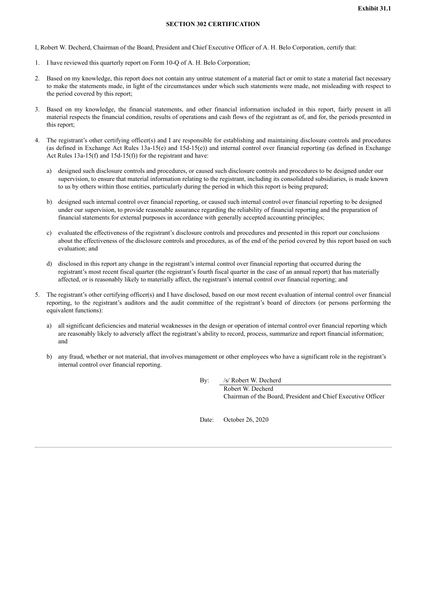#### **SECTION 302 CERTIFICATION**

<span id="page-33-0"></span>I, Robert W. Decherd, Chairman of the Board, President and Chief Executive Officer of A. H. Belo Corporation, certify that:

- 1. I have reviewed this quarterly report on Form 10-Q of A. H. Belo Corporation;
- 2. Based on my knowledge, this report does not contain any untrue statement of a material fact or omit to state a material fact necessary to make the statements made, in light of the circumstances under which such statements were made, not misleading with respect to the period covered by this report;
- 3. Based on my knowledge, the financial statements, and other financial information included in this report, fairly present in all material respects the financial condition, results of operations and cash flows of the registrant as of, and for, the periods presented in this report;
- 4. The registrant's other certifying officer(s) and I are responsible for establishing and maintaining disclosure controls and procedures (as defined in Exchange Act Rules 13a-15(e) and 15d-15(e)) and internal control over financial reporting (as defined in Exchange Act Rules  $13a-15(f)$  and  $15d-15(f)$  for the registrant and have:
	- a) designed such disclosure controls and procedures, or caused such disclosure controls and procedures to be designed under our supervision, to ensure that material information relating to the registrant, including its consolidated subsidiaries, is made known to us by others within those entities, particularly during the period in which this report is being prepared;
	- b) designed such internal control over financial reporting, or caused such internal control over financial reporting to be designed under our supervision, to provide reasonable assurance regarding the reliability of financial reporting and the preparation of financial statements for external purposes in accordance with generally accepted accounting principles;
	- c) evaluated the effectiveness of the registrant's disclosure controls and procedures and presented in this report our conclusions about the effectiveness of the disclosure controls and procedures, as of the end of the period covered by this report based on such evaluation; and
	- d) disclosed in this report any change in the registrant's internal control over financial reporting that occurred during the registrant's most recent fiscal quarter (the registrant's fourth fiscal quarter in the case of an annual report) that has materially affected, or is reasonably likely to materially affect, the registrant's internal control over financial reporting; and
- 5. The registrant's other certifying officer(s) and I have disclosed, based on our most recent evaluation of internal control over financial reporting, to the registrant's auditors and the audit committee of the registrant's board of directors (or persons performing the equivalent functions):
	- a) all significant deficiencies and material weaknesses in the design or operation of internal control over financial reporting which are reasonably likely to adversely affect the registrant's ability to record, process, summarize and report financial information; and
	- b) any fraud, whether or not material, that involves management or other employees who have a significant role in the registrant's internal control over financial reporting.

By: /s/ Robert W. Decherd

Robert W. Decherd Chairman of the Board, President and Chief Executive Officer

Date: October 26, 2020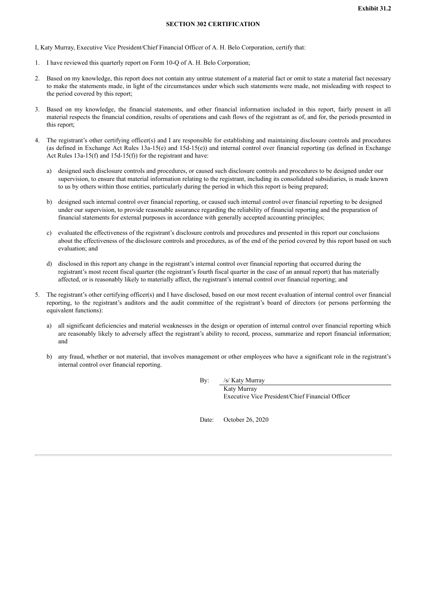#### **SECTION 302 CERTIFICATION**

<span id="page-34-0"></span>I, Katy Murray, Executive Vice President/Chief Financial Officer of A. H. Belo Corporation, certify that:

- 1. I have reviewed this quarterly report on Form 10-Q of A. H. Belo Corporation;
- 2. Based on my knowledge, this report does not contain any untrue statement of a material fact or omit to state a material fact necessary to make the statements made, in light of the circumstances under which such statements were made, not misleading with respect to the period covered by this report;
- 3. Based on my knowledge, the financial statements, and other financial information included in this report, fairly present in all material respects the financial condition, results of operations and cash flows of the registrant as of, and for, the periods presented in this report;
- 4. The registrant's other certifying officer(s) and I are responsible for establishing and maintaining disclosure controls and procedures (as defined in Exchange Act Rules 13a-15(e) and 15d-15(e)) and internal control over financial reporting (as defined in Exchange Act Rules 13a-15(f) and 15d-15(f)) for the registrant and have:
	- a) designed such disclosure controls and procedures, or caused such disclosure controls and procedures to be designed under our supervision, to ensure that material information relating to the registrant, including its consolidated subsidiaries, is made known to us by others within those entities, particularly during the period in which this report is being prepared;
	- b) designed such internal control over financial reporting, or caused such internal control over financial reporting to be designed under our supervision, to provide reasonable assurance regarding the reliability of financial reporting and the preparation of financial statements for external purposes in accordance with generally accepted accounting principles;
	- c) evaluated the effectiveness of the registrant's disclosure controls and procedures and presented in this report our conclusions about the effectiveness of the disclosure controls and procedures, as of the end of the period covered by this report based on such evaluation; and
	- d) disclosed in this report any change in the registrant's internal control over financial reporting that occurred during the registrant's most recent fiscal quarter (the registrant's fourth fiscal quarter in the case of an annual report) that has materially affected, or is reasonably likely to materially affect, the registrant's internal control over financial reporting; and
- 5. The registrant's other certifying officer(s) and I have disclosed, based on our most recent evaluation of internal control over financial reporting, to the registrant's auditors and the audit committee of the registrant's board of directors (or persons performing the equivalent functions):
	- a) all significant deficiencies and material weaknesses in the design or operation of internal control over financial reporting which are reasonably likely to adversely affect the registrant's ability to record, process, summarize and report financial information; and
	- b) any fraud, whether or not material, that involves management or other employees who have a significant role in the registrant's internal control over financial reporting.

By: /s/ Katy Murray

Katy Murray Executive Vice President/Chief Financial Officer

Date: October 26, 2020